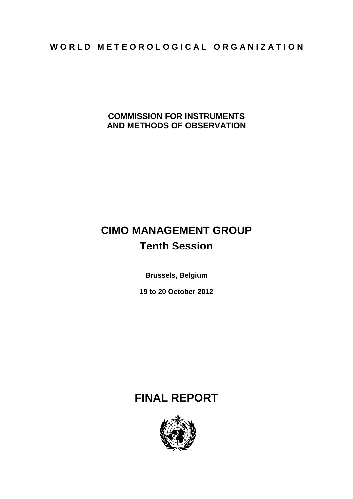## WORLD METEOROLOGICAL ORGANIZATION

**COMMISSION FOR INSTRUMENTS AND METHODS OF OBSERVATION**

# **CIMO MANAGEMENT GROUP Tenth Session**

**Brussels, Belgium**

**19 to 20 October 2012**

## **FINAL REPORT**

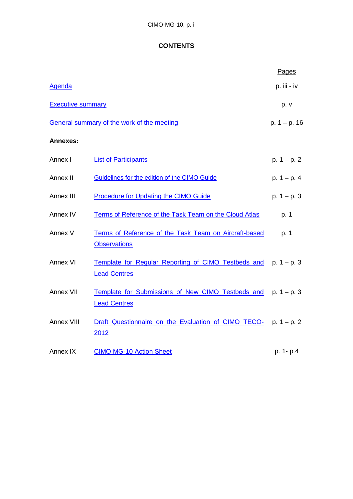## **CONTENTS**

<span id="page-1-0"></span>

|                          |                                                                                        | Pages          |
|--------------------------|----------------------------------------------------------------------------------------|----------------|
| Agenda                   |                                                                                        | p. iii - iv    |
| <b>Executive summary</b> |                                                                                        | p. v           |
|                          | General summary of the work of the meeting                                             | $p. 1 - p. 16$ |
| <b>Annexes:</b>          |                                                                                        |                |
| Annex I                  | <b>List of Participants</b>                                                            | $p. 1 - p. 2$  |
| Annex II                 | Guidelines for the edition of the CIMO Guide                                           | $p. 1 - p. 4$  |
| Annex III                | <b>Procedure for Updating the CIMO Guide</b>                                           | $p. 1 - p. 3$  |
| Annex IV                 | Terms of Reference of the Task Team on the Cloud Atlas                                 | p. 1           |
| Annex V                  | Terms of Reference of the Task Team on Aircraft-based<br><b>Observations</b>           | p. 1           |
| Annex VI                 | Template for Regular Reporting of CIMO Testbeds and p. 1 - p. 3<br><b>Lead Centres</b> |                |
| Annex VII                | Template for Submissions of New CIMO Testbeds and p. 1 - p. 3<br><b>Lead Centres</b>   |                |
| Annex VIII               | Draft Questionnaire on the Evaluation of CIMO TECO-<br>2012                            | $p. 1 - p. 2$  |
| Annex IX                 | <b>CIMO MG-10 Action Sheet</b>                                                         | p. 1- p.4      |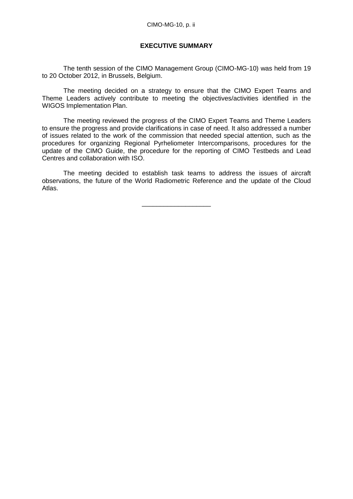#### **EXECUTIVE SUMMARY**

<span id="page-2-0"></span>The tenth session of the CIMO Management Group (CIMO-MG-10) was held from 19 to 20 October 2012, in Brussels, Belgium.

The meeting decided on a strategy to ensure that the CIMO Expert Teams and Theme Leaders actively contribute to meeting the objectives/activities identified in the WIGOS Implementation Plan.

The meeting reviewed the progress of the CIMO Expert Teams and Theme Leaders to ensure the progress and provide clarifications in case of need. It also addressed a number of issues related to the work of the commission that needed special attention, such as the procedures for organizing Regional Pyrheliometer Intercomparisons, procedures for the update of the CIMO Guide, the procedure for the reporting of CIMO Testbeds and Lead Centres and collaboration with ISO.

The meeting decided to establish task teams to address the issues of aircraft observations, the future of the World Radiometric Reference and the update of the Cloud Atlas.

\_\_\_\_\_\_\_\_\_\_\_\_\_\_\_\_\_\_\_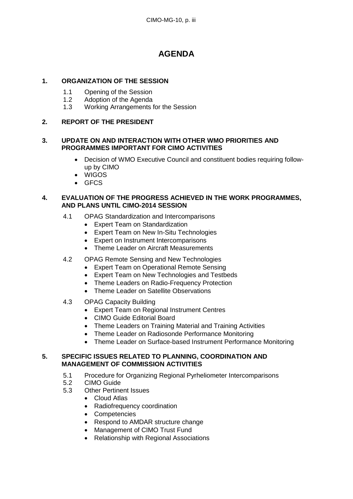## **AGENDA**

## <span id="page-3-0"></span>**1. ORGANIZATION OF THE SESSION**

- 1.1 Opening of the Session
- 1.2 Adoption of the Agenda
- 1.3 Working Arrangements for the Session

## **2. REPORT OF THE PRESIDENT**

## **3. UPDATE ON AND INTERACTION WITH OTHER WMO PRIORITIES AND PROGRAMMES IMPORTANT FOR CIMO ACTIVITIES**

- Decision of WMO Executive Council and constituent bodies requiring followup by CIMO
- WIGOS
- GFCS

## **4. EVALUATION OF THE PROGRESS ACHIEVED IN THE WORK PROGRAMMES, AND PLANS UNTIL CIMO-2014 SESSION**

- 4.1 OPAG Standardization and Intercomparisons
	- Expert Team on Standardization
	- Expert Team on New In-Situ Technologies
	- Expert on Instrument Intercomparisons
	- Theme Leader on Aircraft Measurements
- 4.2 OPAG Remote Sensing and New Technologies
	- Expert Team on Operational Remote Sensing
	- Expert Team on New Technologies and Testbeds
	- Theme Leaders on Radio-Frequency Protection
	- Theme Leader on Satellite Observations
- 4.3 OPAG Capacity Building
	- Expert Team on Regional Instrument Centres
	- CIMO Guide Editorial Board
	- Theme Leaders on Training Material and Training Activities
	- Theme Leader on Radiosonde Performance Monitoring
	- Theme Leader on Surface-based Instrument Performance Monitoring

## **5. SPECIFIC ISSUES RELATED TO PLANNING, COORDINATION AND MANAGEMENT OF COMMISSION ACTIVITIES**

- 5.1 Procedure for Organizing Regional Pyrheliometer Intercomparisons
- 5.2 CIMO Guide
- 5.3 Other Pertinent Issues
	- Cloud Atlas
	- Radiofrequency coordination
	- Competencies
	- Respond to AMDAR structure change
	- Management of CIMO Trust Fund
	- Relationship with Regional Associations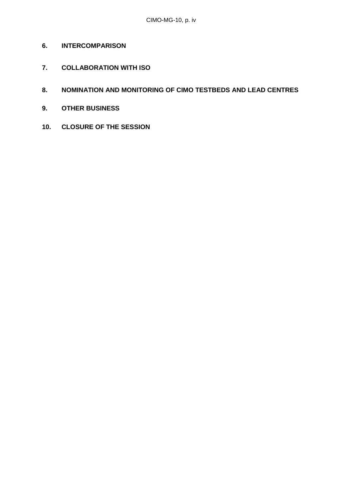- **6. INTERCOMPARISON**
- **7. COLLABORATION WITH ISO**
- **8. NOMINATION AND MONITORING OF CIMO TESTBEDS AND LEAD CENTRES**
- **9. OTHER BUSINESS**
- **10. CLOSURE OF THE SESSION**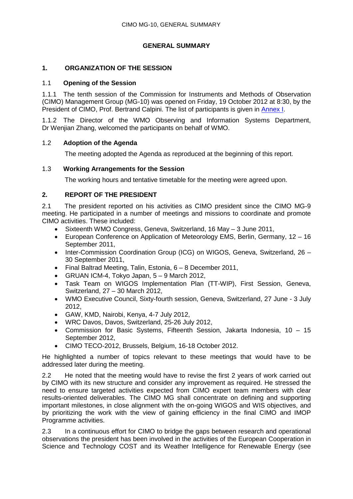## **GENERAL SUMMARY**

## **1. ORGANIZATION OF THE SESSION**

#### 1.1 **Opening of the Session**

1.1.1 The tenth session of the Commission for Instruments and Methods of Observation (CIMO) Management Group (MG-10) was opened on Friday, 19 October 2012 at 8:30, by the President of CIMO, Prof. Bertrand Calpini. The list of participants is given in [Annex I.](#page-21-0)

1.1.2 The Director of the WMO Observing and Information Systems Department, Dr Wenjian Zhang, welcomed the participants on behalf of WMO.

#### 1.2 **Adoption of the Agenda**

The meeting adopted the Agenda as reproduced at the beginning of this report.

## 1.3 **Working Arrangements for the Session**

The working hours and tentative timetable for the meeting were agreed upon.

## **2. REPORT OF THE PRESIDENT**

2.1 The president reported on his activities as CIMO president since the CIMO MG-9 meeting. He participated in a number of meetings and missions to coordinate and promote CIMO activities. These included:

- Sixteenth WMO Congress, Geneva, Switzerland, 16 May 3 June 2011,
- European Conference on Application of Meteorology EMS, Berlin, Germany, 12 16 September 2011,
- Inter-Commission Coordination Group (ICG) on WIGOS, Geneva, Switzerland, 26 30 September 2011,
- Final Baltrad Meeting, Talin, Estonia, 6 8 December 2011,
- GRUAN ICM-4, Tokyo Japan, 5 9 March 2012,
- Task Team on WIGOS Implementation Plan (TT-WIP), First Session, Geneva, Switzerland, 27 – 30 March 2012,
- WMO Executive Council, Sixty-fourth session, Geneva, Switzerland, 27 June 3 July 2012,
- GAW, KMD, Nairobi, Kenya, 4-7 July 2012,
- WRC Davos, Davos, Switzerland, 25-26 July 2012,
- Commission for Basic Systems, Fifteenth Session, Jakarta Indonesia, 10 15 September 2012,
- CIMO TECO-2012, Brussels, Belgium, 16-18 October 2012.

He highlighted a number of topics relevant to these meetings that would have to be addressed later during the meeting.

2.2 He noted that the meeting would have to revise the first 2 years of work carried out by CIMO with its new structure and consider any improvement as required. He stressed the need to ensure targeted activities expected from CIMO expert team members with clear results-oriented deliverables. The CIMO MG shall concentrate on defining and supporting important milestones, in close alignment with the on-going WIGOS and WIS objectives, and by prioritizing the work with the view of gaining efficiency in the final CIMO and IMOP Programme activities.

2.3 In a continuous effort for CIMO to bridge the gaps between research and operational observations the president has been involved in the activities of the European Cooperation in Science and Technology COST and its Weather Intelligence for Renewable Energy (see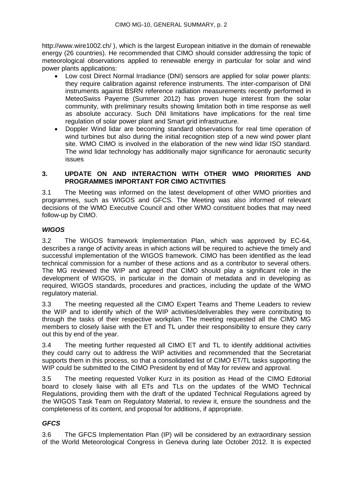<http://www.wire1002.ch/> ), which is the largest European initiative in the domain of renewable energy (26 countries). He recommended that CIMO should consider addressing the topic of meteorological observations applied to renewable energy in particular for solar and wind power plants applications:

- Low cost Direct Normal Irradiance (DNI) sensors are applied for solar power plants: they require calibration against reference instruments. The inter-comparison of DNI instruments against BSRN reference radiation measurements recently performed in MeteoSwiss Payerne (Summer 2012) has proven huge interest from the solar community, with preliminary results showing limitation both in time response as well as absolute accuracy. Such DNI limitations have implications for the real time regulation of solar power plant and Smart grid infrastructure.
- Doppler Wind lidar are becoming standard observations for real time operation of wind turbines but also during the initial recognition step of a new wind power plant site. WMO CIMO is involved in the elaboration of the new wind lidar ISO standard. The wind lidar technology has additionally major significance for aeronautic security issues

## **3. UPDATE ON AND INTERACTION WITH OTHER WMO PRIORITIES AND PROGRAMMES IMPORTANT FOR CIMO ACTIVITIES**

3.1 The Meeting was informed on the latest development of other WMO priorities and programmes, such as WIGOS and GFCS. The Meeting was also informed of relevant decisions of the WMO Executive Council and other WMO constituent bodies that may need follow-up by CIMO.

## *WIGOS*

3.2 The WIGOS framework Implementation Plan, which was approved by EC-64, describes a range of activity areas in which actions will be required to achieve the timely and successful implementation of the WIGOS framework. CIMO has been identified as the lead technical commission for a number of these actions and as a contributor to several others. The MG reviewed the WIP and agreed that CIMO should play a significant role in the development of WIGOS, in particular in the domain of metadata and in developing as required, WIGOS standards, procedures and practices, including the update of the WMO regulatory material.

3.3 The meeting requested all the CIMO Expert Teams and Theme Leaders to review the WIP and to identify which of the WIP activities/deliverables they were contributing to through the tasks of their respective workplan. The meeting requested all the CIMO MG members to closely liaise with the ET and TL under their responsibility to ensure they carry out this by end of the year.

3.4 The meeting further requested all CIMO ET and TL to identify additional activities they could carry out to address the WIP activities and recommended that the Secretariat supports them in this process, so that a consolidated list of CIMO ET/TL tasks supporting the WIP could be submitted to the CIMO President by end of May for review and approval.

3.5 The meeting requested Volker Kurz in its position as Head of the CIMO Editorial board to closely liaise with all ETs and TLs on the updates of the WMO Technical Regulations, providing them with the draft of the updated Technical Regulations agreed by the WIGOS Task Team on Regulatory Material, to review it, ensure the soundness and the completeness of its content, and proposal for additions, if appropriate.

## *GFCS*

3.6 The GFCS Implementation Plan (IP) will be considered by an extraordinary session of the World Meteorological Congress in Geneva during late October 2012. It is expected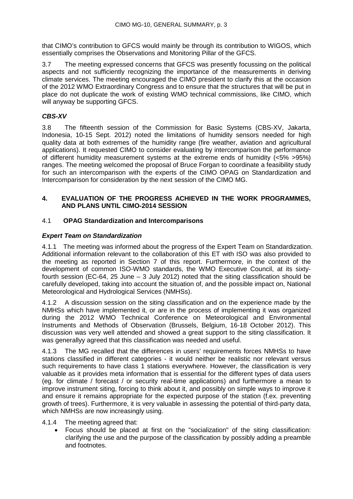that CIMO's contribution to GFCS would mainly be through its contribution to WIGOS, which essentially comprises the Observations and Monitoring Pillar of the GFCS.

3.7 The meeting expressed concerns that GFCS was presently focussing on the political aspects and not sufficiently recognizing the importance of the measurements in deriving climate services. The meeting encouraged the CIMO president to clarify this at the occasion of the 2012 WMO Extraordinary Congress and to ensure that the structures that will be put in place do not duplicate the work of existing WMO technical commissions, like CIMO, which will anyway be supporting GFCS.

## *CBS-XV*

3.8 The fifteenth session of the Commission for Basic Systems (CBS-XV, Jakarta, Indonesia, 10-15 Sept. 2012) noted the limitations of humidity sensors needed for high quality data at both extremes of the humidity range (fire weather, aviation and agricultural applications). It requested CIMO to consider evaluating by intercomparison the performance of different humidity measurement systems at the extreme ends of humidity (<5% >95%) ranges. The meeting welcomed the proposal of Bruce Forgan to coordinate a feasibility study for such an intercomparison with the experts of the CIMO OPAG on Standardization and Intercomparison for consideration by the next session of the CIMO MG.

#### **4. EVALUATION OF THE PROGRESS ACHIEVED IN THE WORK PROGRAMMES, AND PLANS UNTIL CIMO-2014 SESSION**

## 4.1 **OPAG Standardization and Intercomparisons**

## *Expert Team on Standardization*

4.1.1 The meeting was informed about the progress of the Expert Team on Standardization. Additional information relevant to the collaboration of this ET with ISO was also provided to the meeting as reported in Section 7 of this report. Furthermore, in the context of the development of common ISO-WMO standards, the WMO Executive Council, at its sixtyfourth session (EC-64, 25 June – 3 July 2012) noted that the siting classification should be carefully developed, taking into account the situation of, and the possible impact on, National Meteorological and Hydrological Services (NMHSs).

4.1.2 A discussion session on the siting classification and on the experience made by the NMHSs which have implemented it, or are in the process of implementing it was organized during the 2012 WMO Technical Conference on Meteorological and Environmental Instruments and Methods of Observation (Brussels, Belgium, 16-18 October 2012). This discussion was very well attended and showed a great support to the siting classification. It was generallyy agreed that this classification was needed and useful.

4.1.3 The MG recalled that the differences in users' requirements forces NMHSs to have stations classified in different categories - it would neither be realistic nor relevant versus such requirements to have class 1 stations everywhere. However, the classification is very valuable as it provides meta information that is essential for the different types of data users (eg. for climate / forecast / or security real-time applications) and furthermore a mean to improve instrument siting, forcing to think about it, and possibly on simple ways to improve it and ensure it remains appropriate for the expected purpose of the station (f.ex. preventing growth of trees). Furthermore, it is very valuable in assessing the potential of third-party data, which NMHSs are now increasingly using.

#### 4.1.4 The meeting agreed that:

• Focus should be placed at first on the "socialization" of the siting classification: clarifying the use and the purpose of the classification by possibly adding a preamble and footnotes.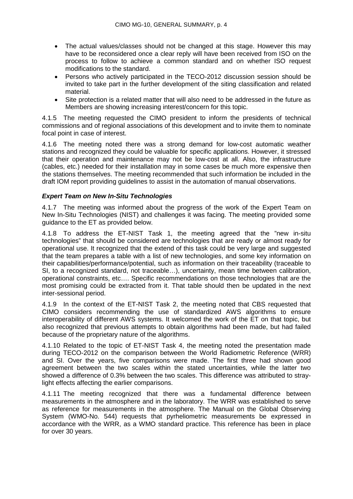- The actual values/classes should not be changed at this stage. However this may have to be reconsidered once a clear reply will have been received from ISO on the process to follow to achieve a common standard and on whether ISO request modifications to the standard.
- Persons who actively participated in the TECO-2012 discussion session should be invited to take part in the further development of the siting classification and related material.
- Site protection is a related matter that will also need to be addressed in the future as Members are showing increasing interest/concern for this topic.

4.1.5 The meeting requested the CIMO president to inform the presidents of technical commissions and of regional associations of this development and to invite them to nominate focal point in case of interest.

4.1.6 The meeting noted there was a strong demand for low-cost automatic weather stations and recognized they could be valuable for specific applications. However, it stressed that their operation and maintenance may not be low-cost at all. Also, the infrastructure (cables, etc.) needed for their installation may in some cases be much more expensive then the stations themselves. The meeting recommended that such information be included in the draft IOM report providing guidelines to assist in the automation of manual observations.

## *Expert Team on New In-Situ Technologies*

4.1.7 The meeting was informed about the progress of the work of the Expert Team on New In-Situ Technologies (NIST) and challenges it was facing. The meeting provided some guidance to the ET as provided below.

4.1.8 To address the ET-NIST Task 1, the meeting agreed that the "new in-situ technologies" that should be considered are technologies that are ready or almost ready for operational use. It recognized that the extend of this task could be very large and suggested that the team prepares a table with a list of new technologies, and some key information on their capabilities/performance/potential, such as information on their traceability (traceable to SI, to a recognized standard, not traceable…), uncertainty, mean time between calibration, operational constraints, etc…. Specific recommendations on those technologies that are the most promising could be extracted from it. That table should then be updated in the next inter-sessional period.

4.1.9 In the context of the ET-NIST Task 2, the meeting noted that CBS requested that CIMO considers recommending the use of standardized AWS algorithms to ensure interoperability of different AWS systems. It welcomed the work of the ET on that topic, but also recognized that previous attempts to obtain algorithms had been made, but had failed because of the proprietary nature of the algorithms.

4.1.10 Related to the topic of ET-NIST Task 4, the meeting noted the presentation made during TECO-2012 on the comparison between the World Radiometric Reference (WRR) and SI. Over the years, five comparisons were made. The first three had shown good agreement between the two scales within the stated uncertainties, while the latter two showed a difference of 0.3% between the two scales. This difference was attributed to straylight effects affecting the earlier comparisons.

4.1.11 The meeting recognized that there was a fundamental difference between measurements in the atmosphere and in the laboratory. The WRR was established to serve as reference for measurements in the atmosphere. The Manual on the Global Observing System (WMO-No. 544) requests that pyrheliometric measurements be expressed in accordance with the WRR, as a WMO standard practice. This reference has been in place for over 30 years.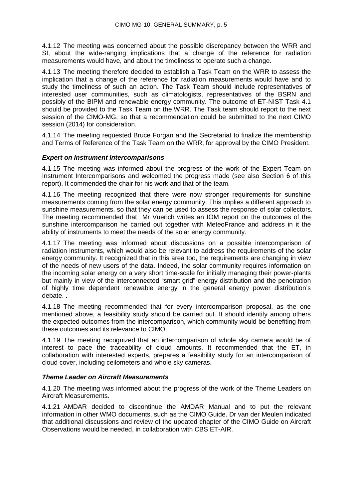4.1.12 The meeting was concerned about the possible discrepancy between the WRR and SI, about the wide-ranging implications that a change of the reference for radiation measurements would have, and about the timeliness to operate such a change.

4.1.13 The meeting therefore decided to establish a Task Team on the WRR to assess the implication that a change of the reference for radiation measurements would have and to study the timeliness of such an action. The Task Team should include representatives of interested user communities, such as climatologists, representatives of the BSRN and possibly of the BIPM and renewable energy community. The outcome of ET-NIST Task 4.1 should be provided to the Task Team on the WRR. The Task team should report to the next session of the CIMO-MG, so that a recommendation could be submitted to the next CIMO session (2014) for consideration.

4.1.14 The meeting requested Bruce Forgan and the Secretariat to finalize the membership and Terms of Reference of the Task Team on the WRR, for approval by the CIMO President.

#### *Expert on Instrument Intercomparisons*

4.1.15 The meeting was informed about the progress of the work of the Expert Team on Instrument Intercomparisons and welcomed the progress made (see also Section 6 of this report). It commended the chair for his work and that of the team.

4.1.16 The meeting recognized that there were now stronger requirements for sunshine measurements coming from the solar energy community. This implies a different approach to sunshine measurements, so that they can be used to assess the response of solar collectors. The meeting recommended that Mr Vuerich writes an IOM report on the outcomes of the sunshine intercomparison he carried out together with MeteoFrance and address in it the ability of instruments to meet the needs of the solar energy community.

4.1.17 The meeting was informed about discussions on a possible intercomparison of radiation instruments, which would also be relevant to address the requirements of the solar energy community. It recognized that in this area too, the requirements are changing in view of the needs of new users of the data. Indeed, the solar community requires information on the incoming solar energy on a very short time-scale for initially managing their power-plants but mainly in view of the interconnected "smart grid" energy distribution and the penetration of highly time dependent renewable energy in the general energy power distribution's debate. .

4.1.18 The meeting recommended that for every intercomparison proposal, as the one mentioned above, a feasibility study should be carried out. It should identify among others the expected outcomes from the intercomparison, which community would be benefiting from these outcomes and its relevance to CIMO.

4.1.19 The meeting recognized that an intercomparison of whole sky camera would be of interest to pace the traceability of cloud amounts. It recommended that the ET, in collaboration with interested experts, prepares a feasibility study for an intercomparison of cloud cover, including ceilometers and whole sky cameras.

#### *Theme Leader on Aircraft Measurements*

4.1.20 The meeting was informed about the progress of the work of the Theme Leaders on Aircraft Measurements.

4.1.21 AMDAR decided to discontinue the AMDAR Manual and to put the relevant information in other WMO documents, such as the CIMO Guide. Dr van der Meulen indicated that additional discussions and review of the updated chapter of the CIMO Guide on Aircraft Observations would be needed, in collaboration with CBS ET-AIR.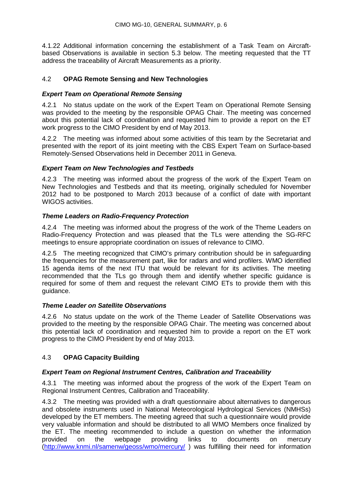4.1.22 Additional information concerning the establishment of a Task Team on Aircraftbased Observations is available in section 5.3 below. The meeting requested that the TT address the traceability of Aircraft Measurements as a priority.

## 4.2 **OPAG Remote Sensing and New Technologies**

## *Expert Team on Operational Remote Sensing*

4.2.1 No status update on the work of the Expert Team on Operational Remote Sensing was provided to the meeting by the responsible OPAG Chair. The meeting was concerned about this potential lack of coordination and requested him to provide a report on the ET work progress to the CIMO President by end of May 2013.

4.2.2 The meeting was informed about some activities of this team by the Secretariat and presented with the report of its joint meeting with the CBS Expert Team on Surface-based Remotely-Sensed Observations held in December 2011 in Geneva.

## *Expert Team on New Technologies and Testbeds*

4.2.3 The meeting was informed about the progress of the work of the Expert Team on New Technologies and Testbeds and that its meeting, originally scheduled for November 2012 had to be postponed to March 2013 because of a conflict of date with important WIGOS activities.

## *Theme Leaders on Radio-Frequency Protection*

4.2.4 The meeting was informed about the progress of the work of the Theme Leaders on Radio-Frequency Protection and was pleased that the TLs were attending the SG-RFC meetings to ensure appropriate coordination on issues of relevance to CIMO.

4.2.5 The meeting recognized that CIMO's primary contribution should be in safeguarding the frequencies for the measurement part, like for radars and wind profilers. WMO identified 15 agenda items of the next ITU that would be relevant for its activities. The meeting recommended that the TLs go through them and identify whether specific guidance is required for some of them and request the relevant CIMO ETs to provide them with this guidance.

## *Theme Leader on Satellite Observations*

4.2.6 No status update on the work of the Theme Leader of Satellite Observations was provided to the meeting by the responsible OPAG Chair. The meeting was concerned about this potential lack of coordination and requested him to provide a report on the ET work progress to the CIMO President by end of May 2013.

## 4.3 **OPAG Capacity Building**

## *Expert Team on Regional Instrument Centres, Calibration and Traceability*

4.3.1 The meeting was informed about the progress of the work of the Expert Team on Regional Instrument Centres, Calibration and Traceability.

4.3.2 The meeting was provided with a draft questionnaire about alternatives to dangerous and obsolete instruments used in National Meteorological Hydrological Services (NMHSs) developed by the ET members. The meeting agreed that such a questionnaire would provide very valuable information and should be distributed to all WMO Members once finalized by the ET. The meeting recommended to include a question on whether the information provided on the webpage providing links to documents on mercury [\(http://www.knmi.nl/samenw/geoss/wmo/mercury/](http://www.knmi.nl/samenw/geoss/wmo/mercury/) ) was fulfilling their need for information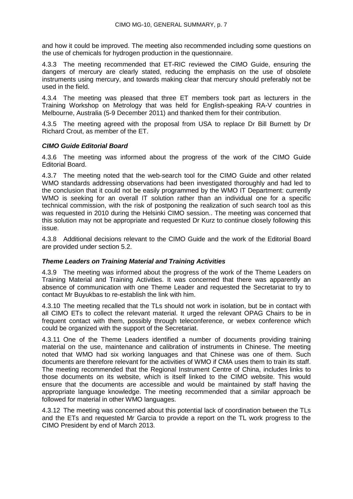and how it could be improved. The meeting also recommended including some questions on the use of chemicals for hydrogen production in the questionnaire.

4.3.3 The meeting recommended that ET-RIC reviewed the CIMO Guide, ensuring the dangers of mercury are clearly stated, reducing the emphasis on the use of obsolete instruments using mercury, and towards making clear that mercury should preferably not be used in the field.

4.3.4 The meeting was pleased that three ET members took part as lecturers in the Training Workshop on Metrology that was held for English-speaking RA-V countries in Melbourne, Australia (5-9 December 2011) and thanked them for their contribution.

4.3.5 The meeting agreed with the proposal from USA to replace Dr Bill Burnett by Dr Richard Crout, as member of the ET.

## *CIMO Guide Editorial Board*

4.3.6 The meeting was informed about the progress of the work of the CIMO Guide Editorial Board.

4.3.7 The meeting noted that the web-search tool for the CIMO Guide and other related WMO standards addressing observations had been investigated thoroughly and had led to the conclusion that it could not be easily programmed by the WMO IT Department: currently WMO is seeking for an overall IT solution rather than an individual one for a specific technical commission, with the risk of postponing the realization of such search tool as this was requested in 2010 during the Helsinki CIMO session.. The meeting was concerned that this solution may not be appropriate and requested Dr Kurz to continue closely following this issue.

4.3.8 Additional decisions relevant to the CIMO Guide and the work of the Editorial Board are provided under section 5.2.

## *Theme Leaders on Training Material and Training Activities*

4.3.9 The meeting was informed about the progress of the work of the Theme Leaders on Training Material and Training Activities. It was concerned that there was apparently an absence of communication with one Theme Leader and requested the Secretariat to try to contact Mr Buyukbas to re-establish the link with him.

4.3.10 The meeting recalled that the TLs should not work in isolation, but be in contact with all CIMO ETs to collect the relevant material. It urged the relevant OPAG Chairs to be in frequent contact with them, possibly through teleconference, or webex conference which could be organized with the support of the Secretariat.

4.3.11 One of the Theme Leaders identified a number of documents providing training material on the use, maintenance and calibration of instruments in Chinese. The meeting noted that WMO had six working languages and that Chinese was one of them. Such documents are therefore relevant for the activities of WMO if CMA uses them to train its staff. The meeting recommended that the Regional Instrument Centre of China, includes links to those documents on its website, which is itself linked to the CIMO website. This would ensure that the documents are accessible and would be maintained by staff having the appropriate language knowledge. The meeting recommended that a similar approach be followed for material in other WMO languages.

4.3.12 The meeting was concerned about this potential lack of coordination between the TLs and the ETs and requested Mr Garcia to provide a report on the TL work progress to the CIMO President by end of March 2013.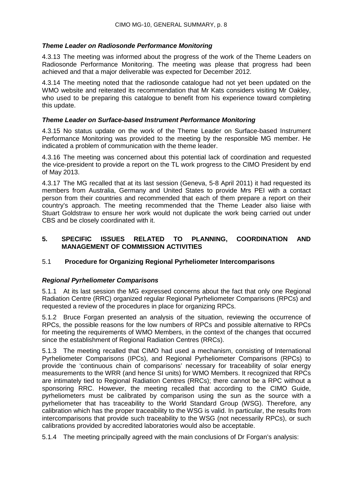## *Theme Leader on Radiosonde Performance Monitoring*

4.3.13 The meeting was informed about the progress of the work of the Theme Leaders on Radiosonde Performance Monitoring. The meeting was please that progress had been achieved and that a major deliverable was expected for December 2012.

4.3.14 The meeting noted that the radiosonde catalogue had not yet been updated on the WMO website and reiterated its recommendation that Mr Kats considers visiting Mr Oakley, who used to be preparing this catalogue to benefit from his experience toward completing this update.

## *Theme Leader on Surface-based Instrument Performance Monitoring*

4.3.15 No status update on the work of the Theme Leader on Surface-based Instrument Performance Monitoring was provided to the meeting by the responsible MG member. He indicated a problem of communication with the theme leader.

4.3.16 The meeting was concerned about this potential lack of coordination and requested the vice-president to provide a report on the TL work progress to the CIMO President by end of May 2013.

4.3.17 The MG recalled that at its last session (Geneva, 5-8 April 2011) it had requested its members from Australia, Germany and United States to provide Mrs PEI with a contact person from their countries and recommended that each of them prepare a report on their country's approach. The meeting recommended that the Theme Leader also liaise with Stuart Goldstraw to ensure her work would not duplicate the work being carried out under CBS and be closely coordinated with it.

## **5. SPECIFIC ISSUES RELATED TO PLANNING, COORDINATION AND MANAGEMENT OF COMMISSION ACTIVITIES**

## 5.1 **Procedure for Organizing Regional Pyrheliometer Intercomparisons**

## *Regional Pyrheliometer Comparisons*

5.1.1 At its last session the MG expressed concerns about the fact that only one Regional Radiation Centre (RRC) organized regular Regional Pyrheliometer Comparisons (RPCs) and requested a review of the procedures in place for organizing RPCs.

5.1.2 Bruce Forgan presented an analysis of the situation, reviewing the occurrence of RPCs, the possible reasons for the low numbers of RPCs and possible alternative to RPCs for meeting the requirements of WMO Members, in the context of the changes that occurred since the establishment of Regional Radiation Centres (RRCs).

5.1.3 The meeting recalled that CIMO had used a mechanism, consisting of International Pyrheliometer Comparisons (IPCs), and Regional Pyrheliometer Comparisons (RPCs) to provide the 'continuous chain of comparisons' necessary for traceability of solar energy measurements to the WRR (and hence SI units) for WMO Members. It recognized that RPCs are intimately tied to Regional Radiation Centres (RRCs); there cannot be a RPC without a sponsoring RRC. However, the meeting recalled that according to the CIMO Guide, pyrheliometers must be calibrated by comparison using the sun as the source with a pyrheliometer that has traceability to the World Standard Group (WSG). Therefore, any calibration which has the proper traceability to the WSG is valid. In particular, the results from intercomparisons that provide such traceability to the WSG (not necessarily RPCs), or such calibrations provided by accredited laboratories would also be acceptable.

5.1.4 The meeting principally agreed with the main conclusions of Dr Forgan's analysis: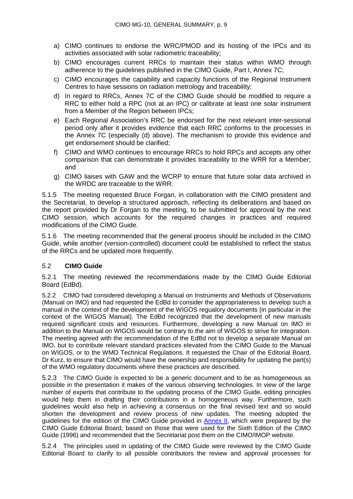- a) CIMO continues to endorse the WRC/PMOD and its hosting of the IPCs and its activities associated with solar radiometric traceability;
- b) CIMO encourages current RRCs to maintain their status within WMO through adherence to the guidelines published in the CIMO Guide, Part I, Annex 7C;
- c) CIMO encourages the capability and capacity functions of the Regional Instrument Centres to have sessions on radiation metrology and traceability;
- d) In regard to RRCs, Annex 7C of the CIMO Guide should be modified to require a RRC to either hold a RPC (not at an IPC) or calibrate at least one solar instrument from a Member of the Region between IPCs;
- e) Each Regional Association's RRC be endorsed for the next relevant inter-sessional period only after it provides evidence that each RRC conforms to the processes in the Annex 7C (especially (d) above). The mechanism to provide this evidence and get endorsement should be clarified;
- f) CIMO and WMO continues to encourage RRCs to hold RPCs and accepts any other comparison that can demonstrate it provides traceability to the WRR for a Member; and
- g) CIMO liaises with GAW and the WCRP to ensure that future solar data archived in the WRDC are traceable to the WRR.

5.1.5 The meeting requested Bruce Forgan, in collaboration with the CIMO president and the Secretariat, to develop a structured approach, reflecting its deliberations and based on the report provided by Dr Forgan to the meeting, to be submitted for approval by the next CIMO session, which accounts for the required changes in practices and required modifications of the CIMO Guide.

5.1.6 The meeting recommended that the general process should be included in the CIMO Guide, while another (version-controlled) document could be established to reflect the status of the RRCs and be updated more frequently.

## 5.2 **CIMO Guide**

5.2.1 The meeting reviewed the recommendations made by the CIMO Guide Editorial Board (EdBd).

5.2.2 CIMO had considered developing a Manual on Instruments and Methods of Observations (Manual on IMO) and had requested the EdBd to consider the appropriateness to develop such a manual in the context of the development of the WIGOS regualory documents (in particular in the context of the WIGOS Manual). The EdBd recognized that the development of new manuals required significant costs and resources. Furthermore, developing a new Manual on IMO in addition to the Manual on WIGOS would be contrary to the aim of WIGOS to strive for integration. The meeting agreed with the recommendation of the EdBd not to develop a separate Manual on IMO, but to contribute relevant standard practices elevated from the CIMO Guide to the Manual on WIGOS, or to the WMO Technical Regulations. It requested the Chair of the Editorial Board, Dr Kurz, to ensure that CIMO would have the ownership and responsibility for updating the part(s) of the WMO regulatory documents where these practices are described.

5.2.3 The CIMO Guide is expected to be a generic document and to be as homogeneous as possible in the presentation it makes of the various observing technologies. In view of the large number of experts that contribute to the updating process of the CIMO Guide, editing principles would help them in drafting their contributions in a homogeneous way. Furthermore, such guidelines would also help in achieving a consensus on the final revised text and so would shorten the development and review process of new updates. The meeting adopted the guidelines for the edition of the CIMO Guide provided in [Annex II,](#page-23-0) which were prepared by the CIMO Guide Editorial Board, based on those that were used for the Sixth Edition of the CIMO Guide (1996) and recommended that the Secretariat post them on the CIMO/IMOP website.

5.2.4 The principles used in updating of the CIMO Guide were reviewed by the CIMO Guide Editorial Board to clarify to all possible contributors the review and approval processes for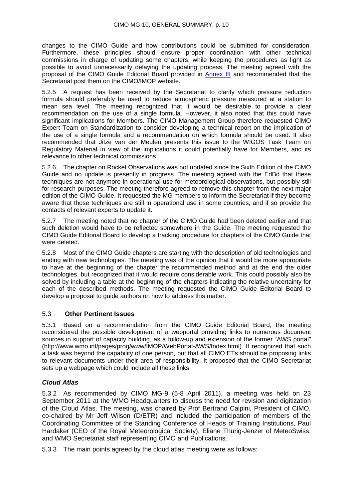changes to the CIMO Guide and how contributions could be submitted for consideration. Furthermore, these principles should ensure proper coordination with other technical commissions in charge of updating some chapters, while keeping the procedures as light as possible to avoid unnecessarily delaying the updating process. The meeting agreed with the proposal of the CIMO Guide Editorial Board provided in **Annex III** and recommended that the Secretariat post them on the CIMO/IMOP website.

5.2.5 A request has been received by the Secretariat to clarify which pressure reduction formula should preferably be used to reduce atmospheric pressure measured at a station to mean sea level. The meeting recognized that it would be desirable to provide a clear recommendation on the use of a single formula. However, it also noted that this could have significant implications for Members. The CIMO Management Group therefore requested CIMO Expert Team on Standardization to consider developing a technical report on the implication of the use of a single formula and a recommendation on which formula should be used. It also recommended that Jitze van der Meulen presents this issue to the WIGOS Task Team on Regulatory Material in view of the implications it could potentially have for Members, and its relevance to other technical commissions.

5.2.6 The chapter on Rocket Observations was not updated since the Sixth Edition of the CIMO Guide and no update is presently in progress. The meeting agreed with the EdBd that these techniques are not anymore in operational use for meteorological observations, but possibly still for research purposes. The meeting therefore agreed to remove this chapter from the next major edition of the CIMO Guide. It requested the MG members to inform the Secretariat if they become aware that those techniques are still in operational use in some countries, and if so provide the contacts of relevant experts to update it.

5.2.7 The meeting noted that no chapter of the CIMO Guide had been deleted earlier and that such deletion would have to be reflected somewhere in the Guide. The meeting requested the CIMO Guide Editorial Board to develop a tracking procedure for chapters of the CIMO Guide that were deleted.

5.2.8 Most of the CIMO Guide chapters are starting with the description of old technologies and ending with new technologies. The meeting was of the opinion that it would be more appropriate to have at the beginning of the chapter the recommended method and at the end the older technologies, but recognized that it would require considerable work. This could possibly also be solved by including a table at the beginning of the chapters indicating the relative uncertainty for each of the described methods. The meeting requested the CIMO Guide Editorial Board to develop a proposal to guide authors on how to address this matter.

## 5.3 **Other Pertinent Issues**

5.3.1 Based on a recommendation from the CIMO Guide Editorial Board, the meeting reconsidered the possible development of a webportal providing links to numerous document sources in support of capacity building, as a follow-up and extension of the former "AWS portal" (http://www.wmo.int/pages/prog/www/IMOP/WebPortal-AWS/Index.html). It recognized that such a task was beyond the capability of one person, but that all CIMO ETs should be proposing links to relevant documents under their area of responsibility. It proposed that the CIMO Secretariat sets up a webpage which could include all these links.

## *Cloud Atlas*

5.3.2 As recommended by CIMO MG-9 (5-8 April 2011), a meeting was held on 23 September 2011 at the WMO Headquarters to discuss the need for revision and digitization of the Cloud Atlas. The meeting, was chaired by Prof Bertrand Calpini, President of CIMO, co-chaired by Mr Jeff Wilson (D/ETR) and included the participation of members of the Coordinating Committee of the Standing Conference of Heads of Training Institutions, Paul Hardaker (CEO of the Royal Meteorological Society), Eliane Thürig-Jenzer of MeteoSwiss, and WMO Secretariat staff representing CIMO and Publications.

5.3.3 The main points agreed by the cloud atlas meeting were as follows: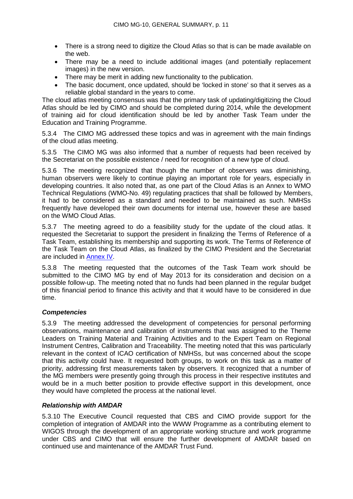- There is a strong need to digitize the Cloud Atlas so that is can be made available on the web.
- There may be a need to include additional images (and potentially replacement images) in the new version.
- There may be merit in adding new functionality to the publication.
- The basic document, once updated, should be 'locked in stone' so that it serves as a reliable global standard in the years to come.

The cloud atlas meeting consensus was that the primary task of updating/digitizing the Cloud Atlas should be led by CIMO and should be completed during 2014, while the development of training aid for cloud identification should be led by another Task Team under the Education and Training Programme.

5.3.4 The CIMO MG addressed these topics and was in agreement with the main findings of the cloud atlas meeting.

5.3.5 The CIMO MG was also informed that a number of requests had been received by the Secretariat on the possible existence / need for recognition of a new type of cloud.

5.3.6 The meeting recognized that though the number of observers was diminishing, human observers were likely to continue playing an important role for years, especially in developing countries. It also noted that, as one part of the Cloud Atlas is an Annex to WMO Technical Regulations (WMO-No. 49) regulating practices that shall be followed by Members, it had to be considered as a standard and needed to be maintained as such. NMHSs frequently have developed their own documents for internal use, however these are based on the WMO Cloud Atlas.

5.3.7 The meeting agreed to do a feasibility study for the update of the cloud atlas. It requested the Secretariat to support the president in finalizing the Terms of Reference of a Task Team, establishing its membership and supporting its work. The Terms of Reference of the Task Team on the Cloud Atlas, as finalized by the CIMO President and the Secretariat are included in [Annex IV.](#page-30-0)

5.3.8 The meeting requested that the outcomes of the Task Team work should be submitted to the CIMO MG by end of May 2013 for its consideration and decision on a possible follow-up. The meeting noted that no funds had been planned in the regular budget of this financial period to finance this activity and that it would have to be considered in due time.

## *Competencies*

5.3.9 The meeting addressed the development of competencies for personal performing observations, maintenance and calibration of instruments that was assigned to the Theme Leaders on Training Material and Training Activities and to the Expert Team on Regional Instrument Centres, Calibration and Traceability. The meeting noted that this was particularly relevant in the context of ICAO certification of NMHSs, but was concerned about the scope that this activity could have. It requested both groups, to work on this task as a matter of priority, addressing first measurements taken by observers. It recognized that a number of the MG members were presently going through this process in their respective institutes and would be in a much better position to provide effective support in this development, once they would have completed the process at the national level.

## *Relationship with AMDAR*

5.3.10 The Executive Council requested that CBS and CIMO provide support for the completion of integration of AMDAR into the WWW Programme as a contributing element to WIGOS through the development of an appropriate working structure and work programme under CBS and CIMO that will ensure the further development of AMDAR based on continued use and maintenance of the AMDAR Trust Fund.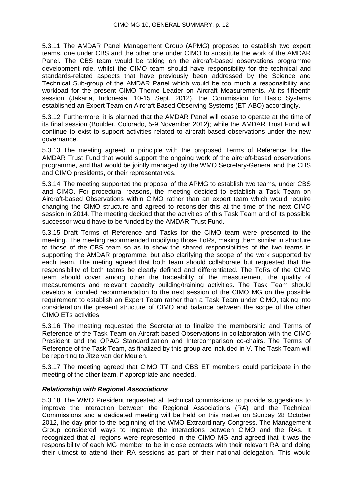5.3.11 The AMDAR Panel Management Group (APMG) proposed to establish two expert teams, one under CBS and the other one under CIMO to substitute the work of the AMDAR Panel. The CBS team would be taking on the aircraft-based observations programme development role, whilst the CIMO team should have responsibility for the technical and standards-related aspects that have previously been addressed by the Science and Technical Sub-group of the AMDAR Panel which would be too much a responsibility and workload for the present CIMO Theme Leader on Aircraft Measurements. At its fifteenth session (Jakarta, Indonesia, 10-15 Sept. 2012), the Commission for Basic Systems established an Expert Team on Aircraft Based Observing Systems (ET-ABO) accordingly.

5.3.12 Furthermore, it is planned that the AMDAR Panel will cease to operate at the time of its final session (Boulder, Colorado, 5-9 November 2012); while the AMDAR Trust Fund will continue to exist to support activities related to aircraft-based observations under the new governance.

5.3.13 The meeting agreed in principle with the proposed Terms of Reference for the AMDAR Trust Fund that would support the ongoing work of the aircraft-based observations programme, and that would be jointly managed by the WMO Secretary-General and the CBS and CIMO presidents, or their representatives.

5.3.14 The meeting supported the proposal of the APMG to establish two teams, under CBS and CIMO. For procedural reasons, the meeting decided to establish a Task Team on Aircraft-based Observations within CIMO rather than an expert team which would require changing the CIMO structure and agreed to reconsider this at the time of the next CIMO session in 2014. The meeting decided that the activities of this Task Team and of its possible successor would have to be funded by the AMDAR Trust Fund.

5.3.15 Draft Terms of Reference and Tasks for the CIMO team were presented to the meeting. The meeting recommended modifying those ToRs, making them similar in structure to those of the CBS team so as to show the shared responsibilities of the two teams in supporting the AMDAR programme, but also clarifying the scope of the work supported by each team. The meting agreed that both team should collaborate but requested that the responsibility of both teams be clearly defined and differentiated. The ToRs of the CIMO team should cover among other the traceability of the measurement, the quality of measurements and relevant capacity building/training activities. The Task Team should develop a founded recommendation to the next session of the CIMO MG on the possible requirement to establish an Expert Team rather than a Task Team under CIMO, taking into consideration the present structure of CIMO and balance between the scope of the other CIMO ETs activities.

5.3.16 The meeting requested the Secretariat to finalize the membership and Terms of Reference of the Task Team on Aircraft-based Observations in collaboration with the CIMO President and the OPAG Standardization and Intercomparison co-chairs. The Terms of Reference of the Task Team, as finalized by this group are included in V. The Task Team will be reporting to Jitze van der Meulen.

5.3.17 The meeting agreed that CIMO TT and CBS ET members could participate in the meeting of the other team, if appropriate and needed.

## *Relationship with Regional Associations*

5.3.18 The WMO President requested all technical commissions to provide suggestions to improve the interaction between the Regional Associations (RA) and the Technical Commissions and a dedicated meeting will be held on this matter on Sunday 28 October 2012, the day prior to the beginning of the WMO Extraordinary Congress. The Management Group considered ways to improve the interactions between CIMO and the RAs. It recognized that all regions were represented in the CIMO MG and agreed that it was the responsibility of each MG member to be in close contacts with their relevant RA and doing their utmost to attend their RA sessions as part of their national delegation. This would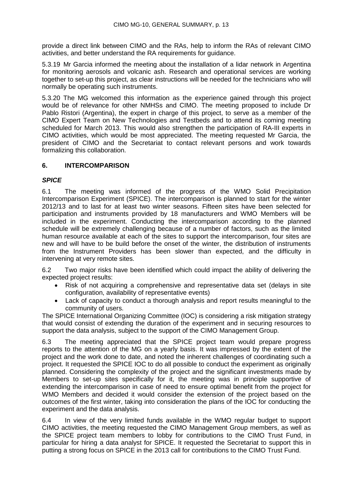provide a direct link between CIMO and the RAs, help to inform the RAs of relevant CIMO activities, and better understand the RA requirements for guidance.

5.3.19 Mr Garcia informed the meeting about the installation of a lidar network in Argentina for monitoring aerosols and volcanic ash. Research and operational services are working together to set-up this project, as clear instructions will be needed for the technicians who will normally be operating such instruments.

5.3.20 The MG welcomed this information as the experience gained through this project would be of relevance for other NMHSs and CIMO. The meeting proposed to include Dr Pablo Ristori (Argentina), the expert in charge of this project, to serve as a member of the CIMO Expert Team on New Technologies and Testbeds and to attend its coming meeting scheduled for March 2013. This would also strengthen the participation of RA-III experts in CIMO activities, which would be most appreciated. The meeting requested Mr Garcia, the president of CIMO and the Secretariat to contact relevant persons and work towards formalizing this collaboration.

## **6. INTERCOMPARISON**

## *SPICE*

6.1 The meeting was informed of the progress of the WMO Solid Precipitation Intercomparison Experiment (SPICE). The intercomparison is planned to start for the winter 2012/13 and to last for at least two winter seasons. Fifteen sites have been selected for participation and instruments provided by 18 manufacturers and WMO Members will be included in the experiment. Conducting the intercomparison according to the planned schedule will be extremely challenging because of a number of factors, such as the limited human resource available at each of the sites to support the intercomparison, four sites are new and will have to be build before the onset of the winter, the distribution of instruments from the Instrument Providers has been slower than expected, and the difficulty in intervening at very remote sites.

6.2 Two major risks have been identified which could impact the ability of delivering the expected project results:

- Risk of not acquiring a comprehensive and representative data set (delays in site configuration, availability of representative events)
- Lack of capacity to conduct a thorough analysis and report results meaningful to the community of users.

The SPICE International Organizing Committee (IOC) is considering a risk mitigation strategy that would consist of extending the duration of the experiment and in securing resources to support the data analysis, subject to the support of the CIMO Management Group.

6.3 The meeting appreciated that the SPICE project team would prepare progress reports to the attention of the MG on a yearly basis. It was impressed by the extent of the project and the work done to date, and noted the inherent challenges of coordinating such a project. It requested the SPICE IOC to do all possible to conduct the experiment as originally planned. Considering the complexity of the project and the significant investments made by Members to set-up sites specifically for it, the meeting was in principle supportive of extending the intercomparison in case of need to ensure optimal benefit from the project for WMO Members and decided it would consider the extension of the project based on the outcomes of the first winter, taking into consideration the plans of the IOC for conducting the experiment and the data analysis.

6.4 In view of the very limited funds available in the WMO regular budget to support CIMO activities, the meeting requested the CIMO Management Group members, as well as the SPICE project team members to lobby for contributions to the CIMO Trust Fund, in particular for hiring a data analyst for SPICE. It requested the Secretariat to support this in putting a strong focus on SPICE in the 2013 call for contributions to the CIMO Trust Fund.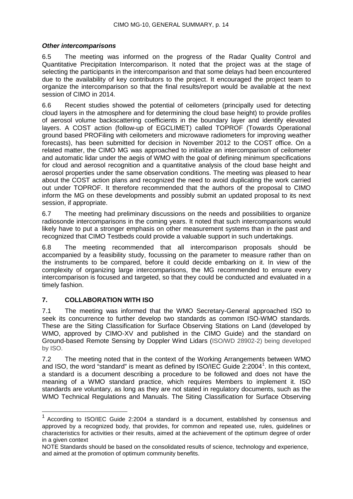## *Other intercomparisons*

6.5 The meeting was informed on the progress of the Radar Quality Control and Quantitative Precipitation Intercomparison. It noted that the project was at the stage of selecting the participants in the intercomparison and that some delays had been encountered due to the availability of key contributors to the project. It encouraged the project team to organize the intercomparison so that the final results/report would be available at the next session of CIMO in 2014.

6.6 Recent studies showed the potential of ceilometers (principally used for detecting cloud layers in the atmosphere and for determining the cloud base height) to provide profiles of aerosol volume backscattering coefficients in the boundary layer and identify elevated layers. A COST action (follow-up of EGCLIMET) called TOPROF (Towards Operational ground based PROFiling with ceilometers and microwave radiometers for improving weather forecasts), has been submitted for decision in November 2012 to the COST office. On a related matter, the CIMO MG was approached to initialize an intercomparison of ceilometer and automatic lidar under the aegis of WMO with the goal of defining minimum specifications for cloud and aerosol recognition and a quantitative analysis of the cloud base height and aerosol properties under the same observation conditions. The meeting was pleased to hear about the COST action plans and recognized the need to avoid duplicating the work carried out under TOPROF. It therefore recommended that the authors of the proposal to CIMO inform the MG on these developments and possibly submit an updated proposal to its next session, if appropriate.

6.7 The meeting had preliminary discussions on the needs and possibilities to organize radiosonde intercomparisons in the coming years. It noted that such intercomparisons would likely have to put a stronger emphasis on other measurement systems than in the past and recognized that CIMO Testbeds could provide a valuable support in such undertakings.

6.8 The meeting recommended that all intercomparison proposals should be accompanied by a feasibility study, focussing on the parameter to measure rather than on the instruments to be compared, before it could decide embarking on it. In view of the complexity of organizing large intercomparisons, the MG recommended to ensure every intercomparison is focused and targeted, so that they could be conducted and evaluated in a timely fashion.

## **7. COLLABORATION WITH ISO**

7.1 The meeting was informed that the WMO Secretary-General approached ISO to seek its concurrence to further develop two standards as common ISO-WMO standards. These are the Siting Classification for Surface Observing Stations on Land (developed by WMO, approved by CIMO-XV and published in the CIMO Guide) and the standard on Ground-based Remote Sensing by Doppler Wind Lidars (ISO/WD 28902-2) being developed by ISO.

7.2 The meeting noted that in the context of the Working Arrangements between WMO and ISO, the word "standard" is meant as defined by ISO/IEC Guide 2:2004<sup>[1](#page-18-0)</sup>. In this context, a standard is a document describing a procedure to be followed and does not have the meaning of a WMO standard practice, which requires Members to implement it. ISO standards are voluntary, as long as they are not stated in regulatory documents, such as the WMO Technical Regulations and Manuals. The Siting Classification for Surface Observing

<span id="page-18-0"></span> $1$  According to ISO/IEC Guide 2:2004 a standard is a document, established by consensus and approved by a recognized body, that provides, for common and repeated use, rules, guidelines or characteristics for activities or their results, aimed at the achievement of the optimum degree of order in a given context

NOTE Standards should be based on the consolidated results of science, technology and experience, and aimed at the promotion of optimum community benefits.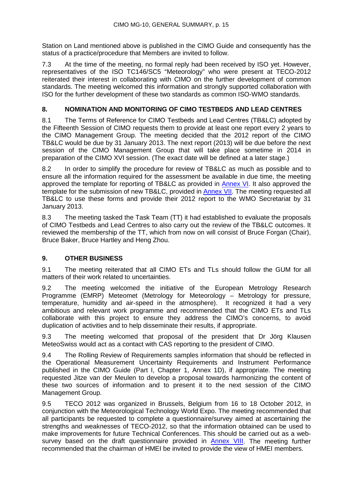Station on Land mentioned above is published in the CIMO Guide and consequently has the status of a practice/procedure that Members are invited to follow.

7.3 At the time of the meeting, no formal reply had been received by ISO yet. However, representatives of the ISO TC146/SC5 "Meteorology" who were present at TECO-2012 reiterated their interest in collaborating with CIMO on the further development of common standards. The meeting welcomed this information and strongly supported collaboration with ISO for the further development of these two standards as common ISO-WMO standards.

## **8. NOMINATION AND MONITORING OF CIMO TESTBEDS AND LEAD CENTRES**

8.1 The Terms of Reference for CIMO Testbeds and Lead Centres (TB&LC) adopted by the Fifteenth Session of CIMO requests them to provide at least one report every 2 years to the CIMO Management Group. The meeting decided that the 2012 report of the CIMO TB&LC would be due by 31 January 2013. The next report (2013) will be due before the next session of the CIMO Management Group that will take place sometime in 2014 in preparation of the CIMO XVI session. (The exact date will be defined at a later stage.)

8.2 In order to simplify the procedure for review of TB&LC as much as possible and to ensure all the information required for the assessment be available in due time, the meeting approved the template for reporting of TB&LC as provided in [Annex](#page-32-0) VI. It also approved the template for the submission of new TB&LC, provided in [Annex VII.](#page-35-0) The meeting requested all TB&LC to use these forms and provide their 2012 report to the WMO Secretariat by 31 January 2013.

8.3 The meeting tasked the Task Team (TT) it had established to evaluate the proposals of CIMO Testbeds and Lead Centres to also carry out the review of the TB&LC outcomes. It reviewed the membership of the TT, which from now on will consist of Bruce Forgan (Chair), Bruce Baker, Bruce Hartley and Heng Zhou.

## **9. OTHER BUSINESS**

9.1 The meeting reiterated that all CIMO ETs and TLs should follow the GUM for all matters of their work related to uncertainties.

9.2 The meeting welcomed the initiative of the European Metrology Research Programme (EMRP) Meteomet (Metrology for Meteorology – Metrology for pressure, temperature, humidity and air-speed in the atmosphere). It recognized it had a very ambitious and relevant work programme and recommended that the CIMO ETs and TLs collaborate with this project to ensure they address the CIMO's concerns, to avoid duplication of activities and to help disseminate their results, if appropriate.

9.3 The meeting welcomed that proposal of the president that Dr Jörg Klausen MeteoSwiss would act as a contact with CAS reporting to the president of CIMO.

9.4 The Rolling Review of Requirements samples information that should be reflected in the Operational Measurement Uncertainty Requirements and Instrument Performance published in the CIMO Guide (Part I, Chapter 1, Annex 1D), if appropriate. The meeting requested Jitze van der Meulen to develop a proposal towards harmonizing the content of these two sources of information and to present it to the next session of the CIMO Management Group.

9.5 TECO 2012 was organized in Brussels, Belgium from 16 to 18 October 2012, in conjunction with the Meteorological Technology World Expo. The meeting recommended that all participants be requested to complete a questionnaire/survey aimed at ascertaining the strengths and weaknesses of TECO-2012, so that the information obtained can be used to make improvements for future Technical Conferences. This should be carried out as a web-survey based on the draft questionnaire provided in [Annex VIII.](#page-38-0) The meeting further recommended that the chairman of HMEI be invited to provide the view of HMEI members.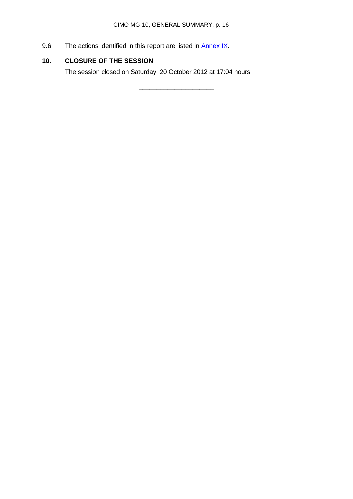\_\_\_\_\_\_\_\_\_\_\_\_\_\_\_\_\_\_\_\_\_

9.6 The actions identified in this report are listed in **Annex IX**.

## **10. CLOSURE OF THE SESSION**

The session closed on Saturday, 20 October 2012 at 17:04 hours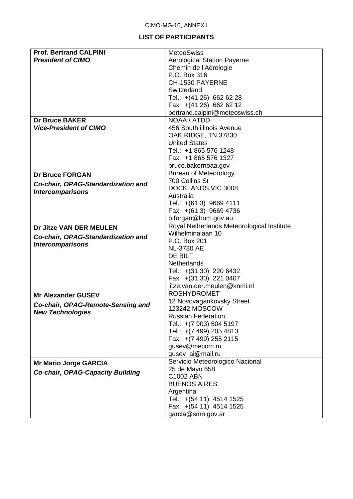## **LIST OF PARTICIPANTS**

<span id="page-21-0"></span>

| <b>Prof. Bertrand CALPINI</b>           | <b>MeteoSwiss</b>                          |
|-----------------------------------------|--------------------------------------------|
|                                         |                                            |
| <b>President of CIMO</b>                | <b>Aerological Station Payerne</b>         |
|                                         | Chemin de l'Aérologie                      |
|                                         | P.O. Box 316                               |
|                                         | CH-1530 PAYERNE                            |
|                                         | Switzerland                                |
|                                         | Tel.: +(41 26) 662 62 28                   |
|                                         | Fax +(41 26) 662 62 12                     |
|                                         | bertrand.calpini@meteoswiss.ch             |
| <b>Dr Bruce BAKER</b>                   | NOAA / ATDD                                |
| <b>Vice-President of CIMO</b>           | 456 South illinois Avenue                  |
|                                         |                                            |
|                                         | OAK RIDGE, TN 37830                        |
|                                         | <b>United States</b>                       |
|                                         | Tel.: +1 865 576 1248                      |
|                                         | Fax: +1 865 576 1327                       |
|                                         | bruce.bakernoaa.gov                        |
| <b>Dr Bruce FORGAN</b>                  | <b>Bureau of Meteorology</b>               |
| Co-chair, OPAG-Standardization and      | 700 Collins St                             |
|                                         | DOCKLANDS VIC 3008                         |
| <b>Intercomparisons</b>                 | Australia                                  |
|                                         | Tel.: +(61 3) 9669 4111                    |
|                                         | Fax: +(61 3) 9669 4736                     |
|                                         | b.forgan@bom.gov.au                        |
|                                         | Royal Netherlands Meteorological Institute |
| Dr Jitze VAN DER MEULEN                 | Wilhelminalaan 10                          |
| Co-chair, OPAG-Standardization and      | P.O. Box 201                               |
| <b>Intercomparisons</b>                 |                                            |
|                                         | <b>NL-3730 AE</b>                          |
|                                         | DE BILT                                    |
|                                         | <b>Netherlands</b>                         |
|                                         | Tel.: +(31 30) 220 6432                    |
|                                         | Fax: +(31 30) 221 0407                     |
|                                         | jitze.van.der.meulen@knmi.nl               |
| <b>Mr Alexander GUSEV</b>               | <b>ROSHYDROMET</b>                         |
|                                         | 12 Novovagankovsky Street                  |
| Co-chair, OPAG-Remote-Sensing and       | 123242 MOSCOW                              |
| <b>New Technologies</b>                 | <b>Russian Federation</b>                  |
|                                         | Tel.: +(7 903) 504 5197                    |
|                                         | Tel.: +(7 499) 205 4813                    |
|                                         | Fax: +(7 499) 255 2115                     |
|                                         | gusev@mecom.ru                             |
|                                         | gusev_ai@mail.ru                           |
|                                         |                                            |
| <b>Mr Mario Jorge GARCIA</b>            | Servicio Meteorologico Nacional            |
| <b>Co-chair, OPAG-Capacity Building</b> | 25 de Mayo 658                             |
|                                         | C1002 ABN                                  |
|                                         | <b>BUENOS AIRES</b>                        |
|                                         | Argentina                                  |
|                                         | Tel.: +(54 11) 4514 1525                   |
|                                         | Fax: +(54 11) 4514 1525                    |
|                                         | garcia@smn.gov.ar                          |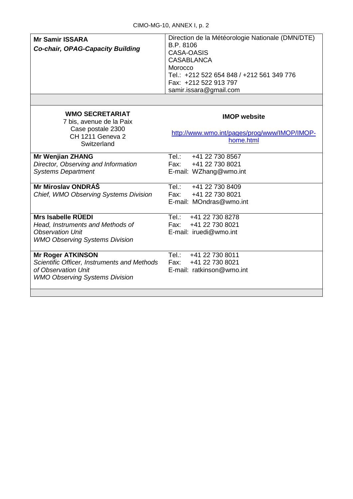| <b>Mr Samir ISSARA</b><br><b>Co-chair, OPAG-Capacity Building</b>                                                                       | Direction de la Météorologie Nationale (DMN/DTE)<br>B.P. 8106<br>CASA-OASIS<br><b>CASABLANCA</b><br>Morocco<br>Tel.: +212 522 654 848 / +212 561 349 776<br>Fax: +212 522 913 797<br>samir.issara@gmail.com |
|-----------------------------------------------------------------------------------------------------------------------------------------|-------------------------------------------------------------------------------------------------------------------------------------------------------------------------------------------------------------|
| <b>WMO SECRETARIAT</b><br>7 bis, avenue de la Paix<br>Case postale 2300<br><b>CH 1211 Geneva 2</b><br>Switzerland                       | <b>IMOP</b> website<br>http://www.wmo.int/pages/prog/www/IMOP/IMOP-<br>home.html                                                                                                                            |
| <b>Mr Wenjian ZHANG</b><br>Director, Observing and Information<br><b>Systems Department</b>                                             | Tel.:<br>+41 22 730 8567<br>+41 22 730 8021<br>Fax: Fax:<br>E-mail: WZhang@wmo.int                                                                                                                          |
| Mr Miroslav ONDRÁŠ<br>Chief, WMO Observing Systems Division                                                                             | Tel:<br>+41 22 730 8409<br>+41 22 730 8021<br>Fax:<br>E-mail: MOndras@wmo.int                                                                                                                               |
| Mrs Isabelle RÜEDI<br>Head, Instruments and Methods of<br><b>Observation Unit</b><br><b>WMO Observing Systems Division</b>              | Tel.: +41 22 730 8278<br>Fax: +41 22 730 8021<br>E-mail: iruedi@wmo.int                                                                                                                                     |
| <b>Mr Roger ATKINSON</b><br>Scientific Officer, Instruments and Methods<br>of Observation Unit<br><b>WMO Observing Systems Division</b> | Tel.: +41 22 730 8011<br>+41 22 730 8021<br>Fax:<br>E-mail: ratkinson@wmo.int                                                                                                                               |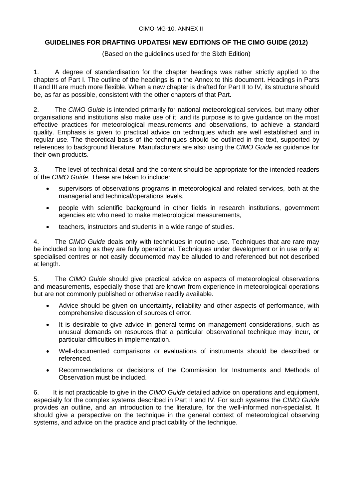#### CIMO-MG-10, ANNEX II

## <span id="page-23-0"></span>**GUIDELINES FOR DRAFTING UPDATES/ NEW EDITIONS OF THE CIMO GUIDE (2012)**

(Based on the guidelines used for the Sixth Edition)

1. A degree of standardisation for the chapter headings was rather strictly applied to the chapters of Part I. The outline of the headings is in the Annex to this document. Headings in Parts II and III are much more flexible. When a new chapter is drafted for Part II to IV, its structure should be, as far as possible, consistent with the other chapters of that Part.

2. The *CIMO Guide* is intended primarily for national meteorological services, but many other organisations and institutions also make use of it, and its purpose is to give guidance on the most effective practices for meteorological measurements and observations, to achieve a standard quality. Emphasis is given to practical advice on techniques which are well established and in regular use. The theoretical basis of the techniques should be outlined in the text, supported by references to background literature. Manufacturers are also using the *CIMO Guide* as guidance for their own products.

3. The level of technical detail and the content should be appropriate for the intended readers of the *CIMO Guide*. These are taken to include:

- supervisors of observations programs in meteorological and related services, both at the managerial and technical/operations levels,
- people with scientific background in other fields in research institutions, government agencies etc who need to make meteorological measurements,
- teachers, instructors and students in a wide range of studies.

4. The *CIMO Guide* deals only with techniques in routine use. Techniques that are rare may be included so long as they are fully operational. Techniques under development or in use only at specialised centres or not easily documented may be alluded to and referenced but not described at length.

5. The *CIMO Guide* should give practical advice on aspects of meteorological observations and measurements, especially those that are known from experience in meteorological operations but are not commonly published or otherwise readily available.

- Advice should be given on uncertainty, reliability and other aspects of performance, with comprehensive discussion of sources of error.
- It is desirable to give advice in general terms on management considerations, such as unusual demands on resources that a particular observational technique may incur, or particular difficulties in implementation.
- Well-documented comparisons or evaluations of instruments should be described or referenced.
- Recommendations or decisions of the Commission for Instruments and Methods of Observation must be included.

6. It is not practicable to give in the *CIMO Guide* detailed advice on operations and equipment, especially for the complex systems described in Part II and IV. For such systems the *CIMO Guide* provides an outline, and an introduction to the literature, for the well-informed non-specialist. It should give a perspective on the technique in the general context of meteorological observing systems, and advice on the practice and practicability of the technique.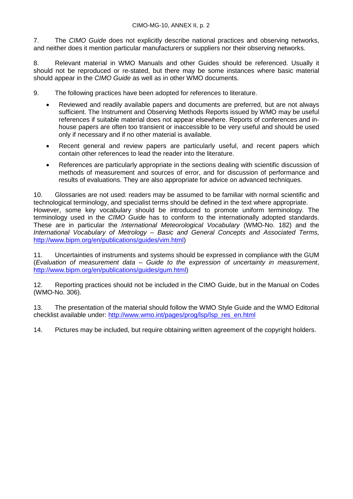7. The *CIMO Guide* does not explicitly describe national practices and observing networks, and neither does it mention particular manufacturers or suppliers nor their observing networks.

8. Relevant material in WMO Manuals and other Guides should be referenced. Usually it should not be reproduced or re-stated, but there may be some instances where basic material should appear in the *CIMO Guide* as well as in other WMO documents.

9. The following practices have been adopted for references to literature.

- Reviewed and readily available papers and documents are preferred, but are not always sufficient. The Instrument and Observing Methods Reports issued by WMO may be useful references if suitable material does not appear elsewhere. Reports of conferences and inhouse papers are often too transient or inaccessible to be very useful and should be used only if necessary and if no other material is available.
- Recent general and review papers are particularly useful, and recent papers which contain other references to lead the reader into the literature.
- References are particularly appropriate in the sections dealing with scientific discussion of methods of measurement and sources of error, and for discussion of performance and results of evaluations. They are also appropriate for advice on advanced techniques.

10. Glossaries are not used: readers may be assumed to be familiar with normal scientific and technological terminology, and specialist terms should be defined in the text where appropriate. However, some key vocabulary should be introduced to promote uniform terminology. The terminology used in the *CIMO Guide* has to conform to the internationally adopted standards. These are in particular the *International Meteorological Vocabulary* (WMO-No. 182) and the *International Vocabulary of Metrology – Basic and General Concepts and Associated Terms,* [http://www.bipm.org/en/publications/guides/vim.html\)](http://www.bipm.org/en/publications/guides/vim.html)

11. Uncertainties of instruments and systems should be expressed in compliance with the GUM (*Evaluation of measurement data – [Guide to the expression of uncertainty in measurement](http://www.bipm.org/utils/common/documents/jcgm/JCGM_100_2008_E.pdf)*, [http://www.bipm.org/en/publications/guides/gum.html\)](http://www.bipm.org/en/publications/guides/gum.html)

12. Reporting practices should not be included in the CIMO Guide, but in the Manual on Codes (WMO-No. 306).

13. The presentation of the material should follow the WMO Style Guide and the WMO Editorial checklist available under: [http://www.wmo.int/pages/prog/lsp/lsp\\_res\\_en.html](http://www.wmo.int/pages/prog/lsp/lsp_res_en.html)

14. Pictures may be included, but require obtaining written agreement of the copyright holders.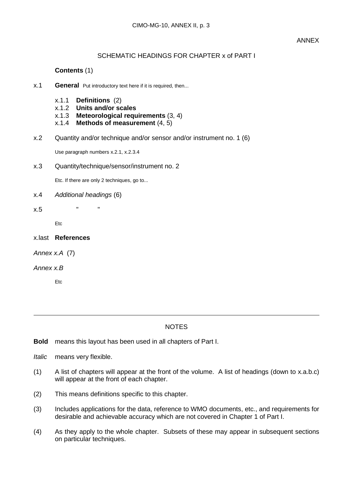## SCHEMATIC HEADINGS FOR CHAPTER x of PART I

## **Contents** (1)

- x.1 **General** Put introductory text here if it is required, then...
	- x.1.1 **Definitions** (2)
	- x.1.2 **Units and/or scales**
	- **Meteorological requirements** (3, 4)
	- x.1.4 **Methods of measurement** (4, 5)
- x.2 Quantity and/or technique and/or sensor and/or instrument no. 1 (6)

Use paragraph numbers x.2.1, x.2.3.4

x.3 Quantity/technique/sensor/instrument no. 2

Etc. If there are only 2 techniques, go to...

x.4 *Additional headings* (6)

x.5 " "

Etc

- x.last **References**
- *Annex x.A* (7)
- *Annex x.B*

Etc

#### **NOTES**

**Bold** means this layout has been used in all chapters of Part I.

- *Italic* means very flexible.
- (1) A list of chapters will appear at the front of the volume. A list of headings (down to x.a.b.c) will appear at the front of each chapter.
- (2) This means definitions specific to this chapter.
- (3) Includes applications for the data, reference to WMO documents, etc., and requirements for desirable and achievable accuracy which are not covered in Chapter 1 of Part I.
- (4) As they apply to the whole chapter. Subsets of these may appear in subsequent sections on particular techniques.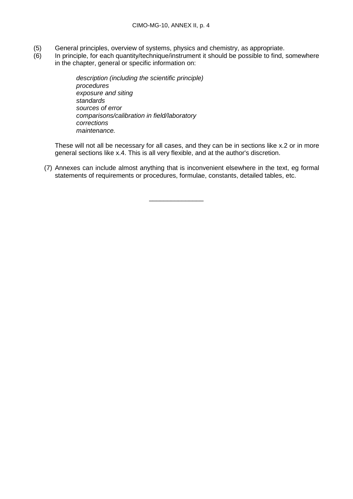- (5) General principles, overview of systems, physics and chemistry, as appropriate.<br>(6) In principle, for each quantity/technique/instrument it should be possible to find,
- In principle, for each quantity/technique/instrument it should be possible to find, somewhere in the chapter, general or specific information on:

*description (including the scientific principle) procedures exposure and siting standards sources of error comparisons/calibration in field/laboratory corrections maintenance.*

These will not all be necessary for all cases, and they can be in sections like x.2 or in more general sections like x.4. This is all very flexible, and at the author's discretion.

(7) Annexes can include almost anything that is inconvenient elsewhere in the text, eg formal statements of requirements or procedures, formulae, constants, detailed tables, etc.

 $\overline{\phantom{a}}$  , where  $\overline{\phantom{a}}$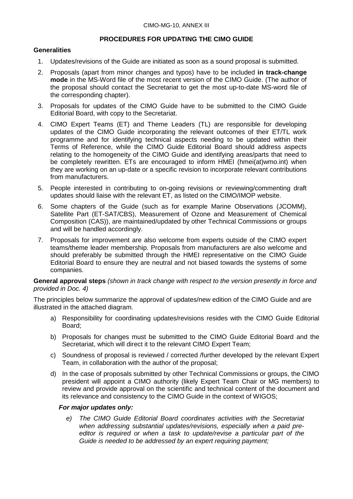## **PROCEDURES FOR UPDATING THE CIMO GUIDE**

#### <span id="page-27-0"></span>**Generalities**

- 1. Updates/revisions of the Guide are initiated as soon as a sound proposal is submitted.
- 2. Proposals (apart from minor changes and typos) have to be included **in track-change mode** in the MS-Word file of the most recent version of the CIMO Guide. (The author of the proposal should contact the Secretariat to get the most up-to-date MS-word file of the corresponding chapter).
- 3. Proposals for updates of the CIMO Guide have to be submitted to the CIMO Guide Editorial Board, with copy to the Secretariat.
- 4. CIMO Expert Teams (ET) and Theme Leaders (TL) are responsible for developing updates of the CIMO Guide incorporating the relevant outcomes of their ET/TL work programme and for identifying technical aspects needing to be updated within their Terms of Reference, while the CIMO Guide Editorial Board should address aspects relating to the homogeneity of the CIMO Guide and identifying areas/parts that need to be completely rewritten. ETs are encouraged to inform HMEI (hmei(at)wmo.int) when they are working on an up-date or a specific revision to incorporate relevant contributions from manufacturers.
- 5. People interested in contributing to on-going revisions or reviewing/commenting draft updates should liaise with the relevant ET, as listed on the CIMO/IMOP website.
- 6. Some chapters of the Guide (such as for example Marine Observations (JCOMM), Satellite Part (ET-SAT/CBS), Measurement of Ozone and Measurement of Chemical Composition (CAS)), are maintained/updated by other Technical Commissions or groups and will be handled accordingly.
- 7. Proposals for improvement are also welcome from experts outside of the CIMO expert teams/theme leader membership. Proposals from manufacturers are also welcome and should preferably be submitted through the HMEI representative on the CIMO Guide Editorial Board to ensure they are neutral and not biased towards the systems of some companies.

**General approval steps** *(shown in track change with respect to the version presently in force and provided in Doc. 4)*

The principles below summarize the approval of updates/new edition of the CIMO Guide and are illustrated in the attached diagram.

- a) Responsibility for coordinating updates/revisions resides with the CIMO Guide Editorial Board;
- b) Proposals for changes must be submitted to the CIMO Guide Editorial Board and the Secretariat, which will direct it to the relevant CIMO Expert Team;
- c) Soundness of proposal is reviewed / corrected /further developed by the relevant Expert Team, in collaboration with the author of the proposal;
- d) In the case of proposals submitted by other Technical Commissions or groups, the CIMO president will appoint a CIMO authority (likely Expert Team Chair or MG members) to review and provide approval on the scientific and technical content of the document and its relevance and consistency to the CIMO Guide in the context of WIGOS;

## *For major updates only:*

*e) The CIMO Guide Editorial Board coordinates activities with the Secretariat when addressing substantial updates/revisions, especially when a paid preeditor is required or when a task to update/revise a particular part of the Guide is needed to be addressed by an expert requiring payment;*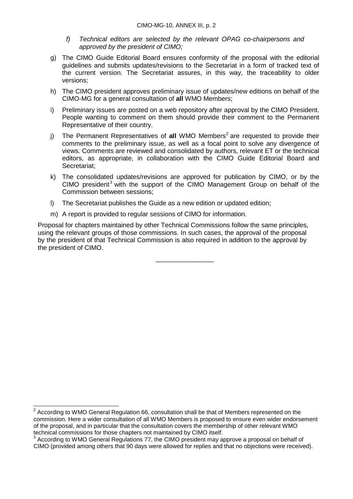- *f) Technical editors are selected by the relevant OPAG co-chairpersons and approved by the president of CIMO;*
- g) The CIMO Guide Editorial Board ensures conformity of the proposal with the editorial guidelines and submits updates/revisions to the Secretariat in a form of tracked text of the current version. The Secretariat assures, in this way, the traceability to older versions;
- h) The CIMO president approves preliminary issue of updates/new editions on behalf of the CIMO-MG for a general consultation of **all** WMO Members;
- i) Preliminary issues are posted on a web repository after approval by the CIMO President. People wanting to comment on them should provide their comment to the Permanent Representative of their country.
- j) The Permanent Representatives of all WMO Members<sup>[2](#page-28-0)</sup> are requested to provide their comments to the preliminary issue, as well as a focal point to solve any divergence of views. Comments are reviewed and consolidated by authors, relevant ET or the technical editors, as appropriate, in collaboration with the CIMO Guide Editorial Board and Secretariat;
- k) The consolidated updates/revisions are approved for publication by CIMO, or by the  $CIMO$  president<sup>[3](#page-28-1)</sup> with the support of the  $CIMO$  Management Group on behalf of the Commission between sessions;
- l) The Secretariat publishes the Guide as a new edition or updated edition;
- m) A report is provided to regular sessions of CIMO for information.

Proposal for chapters maintained by other Technical Commissions follow the same principles, using the relevant groups of those commissions. In such cases, the approval of the proposal by the president of that Technical Commission is also required in addition to the approval by the president of CIMO.

\_\_\_\_\_\_\_\_\_\_\_\_\_\_\_\_

<span id="page-28-0"></span> $2$  According to WMO General Regulation 66, consultation shall be that of Members represented on the commission. Here a wider consultation of all WMO Members is proposed to ensure even wider endorsement of the proposal, and in particular that the consultation covers the membership of other relevant WMO technical commissions for those chapters not maintained by CIMO itself.

<span id="page-28-1"></span><sup>&</sup>lt;sup>3</sup> According to WMO General Regulations 77, the CIMO president may approve a proposal on behalf of CIMO (provided among others that 90 days were allowed for replies and that no objections were received).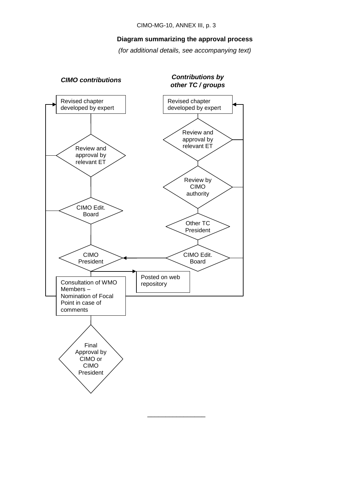#### **Diagram summarizing the approval process**

*(for additional details, see accompanying text)*

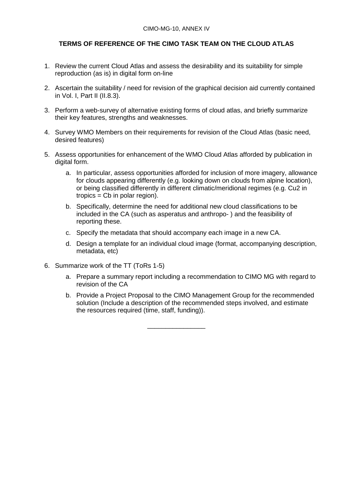## **TERMS OF REFERENCE OF THE CIMO TASK TEAM ON THE CLOUD ATLAS**

- <span id="page-30-0"></span>1. Review the current Cloud Atlas and assess the desirability and its suitability for simple reproduction (as is) in digital form on-line
- 2. Ascertain the suitability / need for revision of the graphical decision aid currently contained in Vol. I, Part II (II.8.3).
- 3. Perform a web-survey of alternative existing forms of cloud atlas, and briefly summarize their key features, strengths and weaknesses.
- 4. Survey WMO Members on their requirements for revision of the Cloud Atlas (basic need, desired features)
- 5. Assess opportunities for enhancement of the WMO Cloud Atlas afforded by publication in digital form.
	- a. In particular, assess opportunities afforded for inclusion of more imagery, allowance for clouds appearing differently (e.g. looking down on clouds from alpine location), or being classified differently in different climatic/meridional regimes (e.g. Cu2 in  $tropics = Cb$  in polar region).
	- b. Specifically, determine the need for additional new cloud classifications to be included in the CA (such as asperatus and anthropo- ) and the feasibility of reporting these.
	- c. Specify the metadata that should accompany each image in a new CA.
	- d. Design a template for an individual cloud image (format, accompanying description, metadata, etc)
- 6. Summarize work of the TT (ToRs 1-5)
	- a. Prepare a summary report including a recommendation to CIMO MG with regard to revision of the CA
	- b. Provide a Project Proposal to the CIMO Management Group for the recommended solution (Include a description of the recommended steps involved, and estimate the resources required (time, staff, funding)).

\_\_\_\_\_\_\_\_\_\_\_\_\_\_\_\_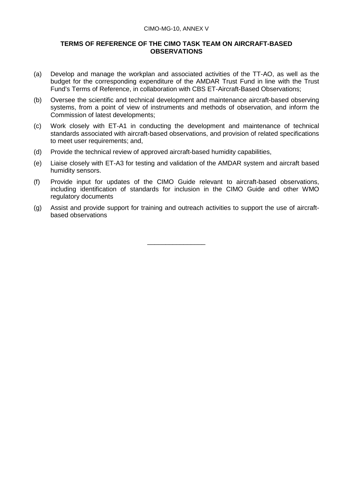#### CIMO-MG-10, ANNEX V

#### <span id="page-31-0"></span>**TERMS OF REFERENCE OF THE CIMO TASK TEAM ON AIRCRAFT-BASED OBSERVATIONS**

- (a) Develop and manage the workplan and associated activities of the TT-AO, as well as the budget for the corresponding expenditure of the AMDAR Trust Fund in line with the Trust Fund's Terms of Reference, in collaboration with CBS ET-Aircraft-Based Observations;
- (b) Oversee the scientific and technical development and maintenance aircraft-based observing systems, from a point of view of instruments and methods of observation, and inform the Commission of latest developments;
- (c) Work closely with ET-A1 in conducting the development and maintenance of technical standards associated with aircraft-based observations, and provision of related specifications to meet user requirements; and,
- (d) Provide the technical review of approved aircraft-based humidity capabilities,
- (e) Liaise closely with ET-A3 for testing and validation of the AMDAR system and aircraft based humidity sensors.
- (f) Provide input for updates of the CIMO Guide relevant to aircraft-based observations, including identification of standards for inclusion in the CIMO Guide and other WMO regulatory documents
- (g) Assist and provide support for training and outreach activities to support the use of aircraftbased observations

 $\overline{\phantom{a}}$  , where  $\overline{\phantom{a}}$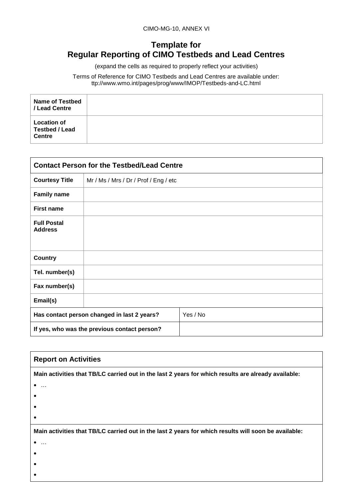## <span id="page-32-0"></span>**Template for Regular Reporting of CIMO Testbeds and Lead Centres**

(expand the cells as required to properly reflect your activities)

Terms of Reference for CIMO Testbeds and Lead Centres are available under: ttp://www.wmo.int/pages/prog/www/IMOP/Testbeds-and-LC.html

| <b>Name of Testbed</b><br>/ Lead Centre                      |  |
|--------------------------------------------------------------|--|
| <b>Location of</b><br><b>Testbed / Lead</b><br><b>Centre</b> |  |

| <b>Contact Person for the Testbed/Lead Centre</b> |                                              |          |
|---------------------------------------------------|----------------------------------------------|----------|
| <b>Courtesy Title</b>                             | Mr / Ms / Mrs / Dr / Prof / Eng / etc        |          |
| <b>Family name</b>                                |                                              |          |
| <b>First name</b>                                 |                                              |          |
| <b>Full Postal</b><br><b>Address</b>              |                                              |          |
| <b>Country</b>                                    |                                              |          |
| Tel. number(s)                                    |                                              |          |
| Fax number(s)                                     |                                              |          |
| Email(s)                                          |                                              |          |
| Has contact person changed in last 2 years?       |                                              | Yes / No |
|                                                   | If yes, who was the previous contact person? |          |

| <b>Report on Activities</b>                                                                          |
|------------------------------------------------------------------------------------------------------|
|                                                                                                      |
| Main activities that TB/LC carried out in the last 2 years for which results are already available:  |
| $\ddotsc$                                                                                            |
|                                                                                                      |
|                                                                                                      |
|                                                                                                      |
| Main activities that TB/LC carried out in the last 2 years for which results will soon be available: |
|                                                                                                      |
|                                                                                                      |
|                                                                                                      |
|                                                                                                      |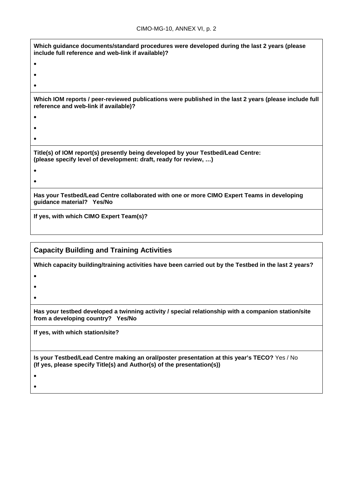| Which guidance documents/standard procedures were developed during the last 2 years (please<br>include full reference and web-link if available)?    |
|------------------------------------------------------------------------------------------------------------------------------------------------------|
|                                                                                                                                                      |
|                                                                                                                                                      |
|                                                                                                                                                      |
| Which IOM reports / peer-reviewed publications were published in the last 2 years (please include full<br>reference and web-link if available)?      |
|                                                                                                                                                      |
|                                                                                                                                                      |
|                                                                                                                                                      |
| Title(s) of IOM report(s) presently being developed by your Testbed/Lead Centre:<br>(please specify level of development: draft, ready for review, ) |
|                                                                                                                                                      |
|                                                                                                                                                      |
| Has your Testbed/Lead Centre collaborated with one or more CIMO Expert Teams in developing<br>guidance material? Yes/No                              |
| If yes, with which CIMO Expert Team(s)?                                                                                                              |

**Capacity Building and Training Activities**

**Which capacity building/training activities have been carried out by the Testbed in the last 2 years?**

- •
- •

•

**Has your testbed developed a twinning activity / special relationship with a companion station/site from a developing country? Yes/No**

**If yes, with which station/site?**

**Is your Testbed/Lead Centre making an oral/poster presentation at this year's TECO?** Yes / No **(If yes, please specify Title(s) and Author(s) of the presentation(s))**

• •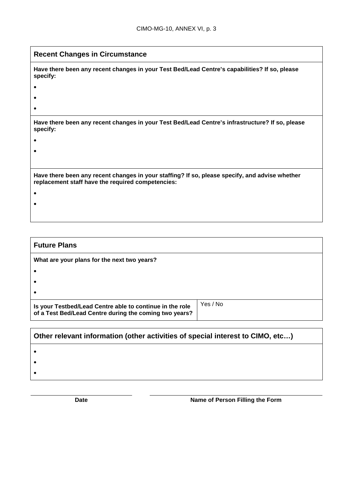| <b>Recent Changes in Circumstance</b>                                                                                                               |  |
|-----------------------------------------------------------------------------------------------------------------------------------------------------|--|
| Have there been any recent changes in your Test Bed/Lead Centre's capabilities? If so, please<br>specify:                                           |  |
|                                                                                                                                                     |  |
|                                                                                                                                                     |  |
|                                                                                                                                                     |  |
| Have there been any recent changes in your Test Bed/Lead Centre's infrastructure? If so, please<br>specify:                                         |  |
|                                                                                                                                                     |  |
|                                                                                                                                                     |  |
|                                                                                                                                                     |  |
| Have there been any recent changes in your staffing? If so, please specify, and advise whether<br>replacement staff have the required competencies: |  |
|                                                                                                                                                     |  |
|                                                                                                                                                     |  |
|                                                                                                                                                     |  |

| <b>Future Plans</b>                         |  |
|---------------------------------------------|--|
| What are your plans for the next two years? |  |
|                                             |  |
|                                             |  |
|                                             |  |
| Yes / No                                    |  |
|                                             |  |

| $\mid$ Other relevant information (other activities of special interest to CIMO, etc) |  |
|---------------------------------------------------------------------------------------|--|
|                                                                                       |  |
|                                                                                       |  |
|                                                                                       |  |
|                                                                                       |  |

**Date Date Name of Person Filling the Form**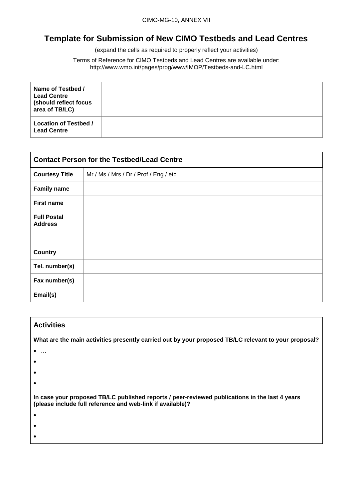## <span id="page-35-0"></span>**Template for Submission of New CIMO Testbeds and Lead Centres**

(expand the cells as required to properly reflect your activities)

Terms of Reference for CIMO Testbeds and Lead Centres are available under: http://www.wmo.int/pages/prog/www/IMOP/Testbeds-and-LC.html

| Name of Testbed /<br><b>Lead Centre</b><br>(should reflect focus<br>area of TB/LC) |  |
|------------------------------------------------------------------------------------|--|
| <b>Location of Testbed /</b><br><b>Lead Centre</b>                                 |  |

| <b>Contact Person for the Testbed/Lead Centre</b> |                                       |
|---------------------------------------------------|---------------------------------------|
| <b>Courtesy Title</b>                             | Mr / Ms / Mrs / Dr / Prof / Eng / etc |
| <b>Family name</b>                                |                                       |
| <b>First name</b>                                 |                                       |
| <b>Full Postal</b><br><b>Address</b>              |                                       |
| <b>Country</b>                                    |                                       |
| Tel. number(s)                                    |                                       |
| Fax number(s)                                     |                                       |
| Email(s)                                          |                                       |

| <b>Activities</b>                                                                                                                                            |
|--------------------------------------------------------------------------------------------------------------------------------------------------------------|
| What are the main activities presently carried out by your proposed TB/LC relevant to your proposal?                                                         |
| .                                                                                                                                                            |
|                                                                                                                                                              |
|                                                                                                                                                              |
|                                                                                                                                                              |
| In case your proposed TB/LC published reports / peer-reviewed publications in the last 4 years<br>(please include full reference and web-link if available)? |
|                                                                                                                                                              |
|                                                                                                                                                              |
|                                                                                                                                                              |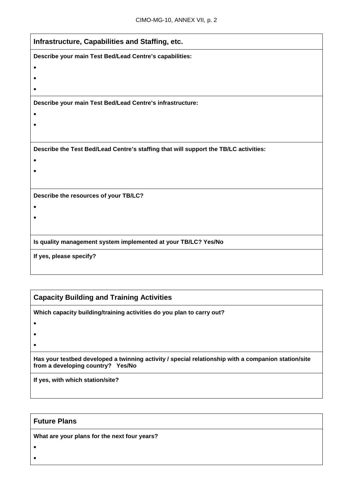| Infrastructure, Capabilities and Staffing, etc.                                      |
|--------------------------------------------------------------------------------------|
| Describe your main Test Bed/Lead Centre's capabilities:                              |
|                                                                                      |
|                                                                                      |
|                                                                                      |
| Describe your main Test Bed/Lead Centre's infrastructure:                            |
|                                                                                      |
|                                                                                      |
|                                                                                      |
| Describe the Test Bed/Lead Centre's staffing that will support the TB/LC activities: |
|                                                                                      |
|                                                                                      |
|                                                                                      |
| Describe the resources of your TB/LC?                                                |
|                                                                                      |
|                                                                                      |
|                                                                                      |
| Is quality management system implemented at your TB/LC? Yes/No                       |
| If yes, please specify?                                                              |
|                                                                                      |
|                                                                                      |

## **Capacity Building and Training Activities**

**Which capacity building/training activities do you plan to carry out?**

- •
- •

**Has your testbed developed a twinning activity / special relationship with a companion station/site from a developing country? Yes/No**

**If yes, with which station/site?**

## **Future Plans**

**What are your plans for the next four years?**

• •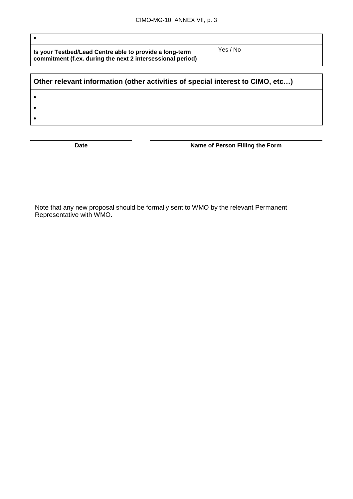| Is your Testbed/Lead Centre able to provide a long-term    |
|------------------------------------------------------------|
| commitment (f.ex. during the next 2 intersessional period) |

Yes / No

# **Other relevant information (other activities of special interest to CIMO, etc…)** • • •

•

**Date Name of Person Filling the Form**

Note that any new proposal should be formally sent to WMO by the relevant Permanent Representative with WMO.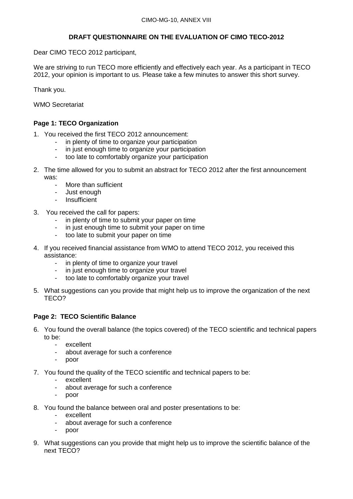## **DRAFT QUESTIONNAIRE ON THE EVALUATION OF CIMO TECO-2012**

<span id="page-38-0"></span>Dear CIMO TECO 2012 participant,

We are striving to run TECO more efficiently and effectively each year. As a participant in TECO 2012, your opinion is important to us. Please take a few minutes to answer this short survey.

Thank you.

WMO Secretariat

## **Page 1: TECO Organization**

- 1. You received the first TECO 2012 announcement:
	- in plenty of time to organize your participation
	- in just enough time to organize your participation
	- too late to comfortably organize your participation
- 2. The time allowed for you to submit an abstract for TECO 2012 after the first announcement was:
	- More than sufficient
	- Just enough
	- **Insufficient**
- 3. You received the call for papers:
	- in plenty of time to submit your paper on time
	- in just enough time to submit your paper on time
	- too late to submit your paper on time
- 4. If you received financial assistance from WMO to attend TECO 2012, you received this assistance:
	- in plenty of time to organize your travel
	- in just enough time to organize your travel
	- too late to comfortably organize your travel
- 5. What suggestions can you provide that might help us to improve the organization of the next TECO?

## **Page 2: TECO Scientific Balance**

- 6. You found the overall balance (the topics covered) of the TECO scientific and technical papers to be:
	- excellent
	- about average for such a conference
	- poor
- 7. You found the quality of the TECO scientific and technical papers to be:
	- excellent
	- about average for such a conference
	- poor
- 8. You found the balance between oral and poster presentations to be:
	- excellent
	- about average for such a conference
	- poor
- 9. What suggestions can you provide that might help us to improve the scientific balance of the next TECO?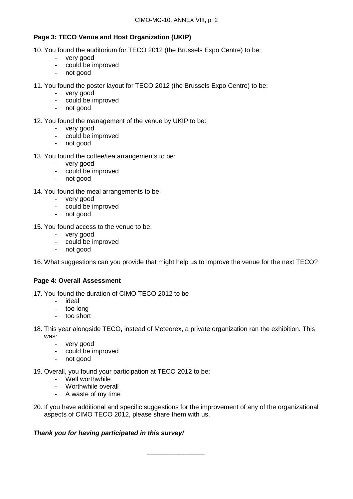## **Page 3: TECO Venue and Host Organization (UKIP)**

- 10. You found the auditorium for TECO 2012 (the Brussels Expo Centre) to be:
	- very good
	- could be improved
	- not good
- 11. You found the poster layout for TECO 2012 (the Brussels Expo Centre) to be:
	- very good
	- could be improved
	- not good
- 12. You found the management of the venue by UKIP to be:
	- very good<br>- could be in
	- could be improved
	- not good
- 13. You found the coffee/tea arrangements to be:
	- very good
	- could be improved<br>- not good
	- not good
- 14. You found the meal arrangements to be:
	- very good
	- could be improved
	- not good
- 15. You found access to the venue to be:
	- very good
	- could be improved
	- not good

16. What suggestions can you provide that might help us to improve the venue for the next TECO?

## **Page 4: Overall Assessment**

- 17. You found the duration of CIMO TECO 2012 to be
	- ideal
	- too long
	- too short
- 18. This year alongside TECO, instead of Meteorex, a private organization ran the exhibition. This was:
	- very good
	- could be improved
	- not good
- 19. Overall, you found your participation at TECO 2012 to be:
	- Well worthwhile
	- Worthwhile overall
	- A waste of my time
- 20. If you have additional and specific suggestions for the improvement of any of the organizational aspects of CIMO TECO 2012, please share them with us.

## *Thank you for having participated in this survey!*

\_\_\_\_\_\_\_\_\_\_\_\_\_\_\_\_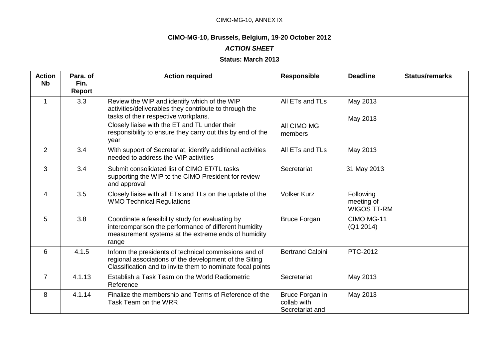## CIMO-MG-10, ANNEX IX

## **CIMO-MG-10, Brussels, Belgium, 19-20 October 2012**

## *ACTION SHEET*

## **Status: March 2013**

<span id="page-40-0"></span>

| <b>Action</b><br><b>Nb</b> | Para, of<br>Fin.<br>Report | <b>Action required</b>                                                                                                                                                                                                                                                | <b>Responsible</b>                                | <b>Deadline</b>                        | <b>Status/remarks</b> |
|----------------------------|----------------------------|-----------------------------------------------------------------------------------------------------------------------------------------------------------------------------------------------------------------------------------------------------------------------|---------------------------------------------------|----------------------------------------|-----------------------|
|                            | 3.3                        | Review the WIP and identify which of the WIP<br>activities/deliverables they contribute to through the<br>tasks of their respective workplans.<br>Closely liaise with the ET and TL under their<br>responsibility to ensure they carry out this by end of the<br>year | All ETs and TLs<br>All CIMO MG<br>members         | May 2013<br>May 2013                   |                       |
| 2                          | 3.4                        | With support of Secretariat, identify additional activities<br>needed to address the WIP activities                                                                                                                                                                   | All ETs and TLs                                   | May 2013                               |                       |
| 3                          | 3.4                        | Submit consolidated list of CIMO ET/TL tasks<br>supporting the WIP to the CIMO President for review<br>and approval                                                                                                                                                   | Secretariat                                       | 31 May 2013                            |                       |
| 4                          | 3.5                        | Closely liaise with all ETs and TLs on the update of the<br><b>WMO Technical Regulations</b>                                                                                                                                                                          | <b>Volker Kurz</b>                                | Following<br>meeting of<br>WIGOS TT-RM |                       |
| 5                          | 3.8                        | Coordinate a feasibility study for evaluating by<br>intercomparison the performance of different humidity<br>measurement systems at the extreme ends of humidity<br>range                                                                                             | <b>Bruce Forgan</b>                               | CIMO MG-11<br>(Q1 2014)                |                       |
| 6                          | 4.1.5                      | Inform the presidents of technical commissions and of<br>regional associations of the development of the Siting<br>Classification and to invite them to nominate focal points                                                                                         | <b>Bertrand Calpini</b>                           | PTC-2012                               |                       |
| $\overline{7}$             | 4.1.13                     | Establish a Task Team on the World Radiometric<br>Reference                                                                                                                                                                                                           | Secretariat                                       | May 2013                               |                       |
| 8                          | 4.1.14                     | Finalize the membership and Terms of Reference of the<br>Task Team on the WRR                                                                                                                                                                                         | Bruce Forgan in<br>collab with<br>Secretariat and | May 2013                               |                       |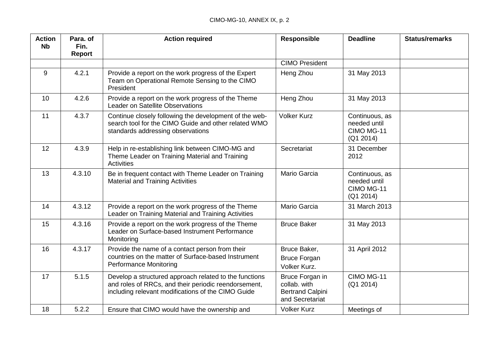| <b>Action</b><br><b>N<sub>b</sub></b> | Para, of<br>Fin.<br>Report | <b>Action required</b>                                                                                                                                               | <b>Responsible</b>                                                            | <b>Deadline</b>                                           | <b>Status/remarks</b> |
|---------------------------------------|----------------------------|----------------------------------------------------------------------------------------------------------------------------------------------------------------------|-------------------------------------------------------------------------------|-----------------------------------------------------------|-----------------------|
|                                       |                            |                                                                                                                                                                      | <b>CIMO President</b>                                                         |                                                           |                       |
| 9                                     | 4.2.1                      | Provide a report on the work progress of the Expert<br>Team on Operational Remote Sensing to the CIMO<br>President                                                   | Heng Zhou                                                                     | 31 May 2013                                               |                       |
| 10                                    | 4.2.6                      | Provide a report on the work progress of the Theme<br><b>Leader on Satellite Observations</b>                                                                        | Heng Zhou                                                                     | 31 May 2013                                               |                       |
| 11                                    | 4.3.7                      | Continue closely following the development of the web-<br>search tool for the CIMO Guide and other related WMO<br>standards addressing observations                  | <b>Volker Kurz</b>                                                            | Continuous, as<br>needed until<br>CIMO MG-11<br>(Q1 2014) |                       |
| 12                                    | 4.3.9                      | Help in re-establishing link between CIMO-MG and<br>Theme Leader on Training Material and Training<br>Activities                                                     | Secretariat                                                                   | 31 December<br>2012                                       |                       |
| 13                                    | 4.3.10                     | Be in frequent contact with Theme Leader on Training<br><b>Material and Training Activities</b>                                                                      | Mario Garcia                                                                  | Continuous, as<br>needed until<br>CIMO MG-11<br>(Q1 2014) |                       |
| 14                                    | 4.3.12                     | Provide a report on the work progress of the Theme<br>Leader on Training Material and Training Activities                                                            | Mario Garcia                                                                  | 31 March 2013                                             |                       |
| 15                                    | 4.3.16                     | Provide a report on the work progress of the Theme<br>Leader on Surface-based Instrument Performance<br>Monitoring                                                   | <b>Bruce Baker</b>                                                            | 31 May 2013                                               |                       |
| 16                                    | 4.3.17                     | Provide the name of a contact person from their<br>countries on the matter of Surface-based Instrument<br><b>Performance Monitoring</b>                              | Bruce Baker,<br><b>Bruce Forgan</b><br>Volker Kurz.                           | 31 April 2012                                             |                       |
| 17                                    | 5.1.5                      | Develop a structured approach related to the functions<br>and roles of RRCs, and their periodic reendorsement,<br>including relevant modifications of the CIMO Guide | Bruce Forgan in<br>collab. with<br><b>Bertrand Calpini</b><br>and Secretariat | CIMO MG-11<br>(Q1 2014)                                   |                       |
| 18                                    | 5.2.2                      | Ensure that CIMO would have the ownership and                                                                                                                        | <b>Volker Kurz</b>                                                            | Meetings of                                               |                       |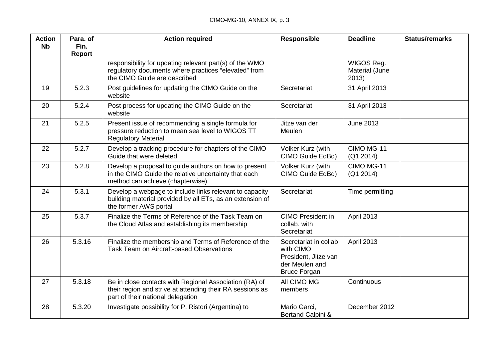| <b>Action</b><br><b>Nb</b> | Para. of<br>Fin.<br>Report | <b>Action required</b>                                                                                                                                   | <b>Responsible</b>                                                                                  | <b>Deadline</b>                       | <b>Status/remarks</b> |
|----------------------------|----------------------------|----------------------------------------------------------------------------------------------------------------------------------------------------------|-----------------------------------------------------------------------------------------------------|---------------------------------------|-----------------------|
|                            |                            | responsibility for updating relevant part(s) of the WMO<br>regulatory documents where practices "elevated" from<br>the CIMO Guide are described          |                                                                                                     | WIGOS Reg.<br>Material (June<br>2013) |                       |
| 19                         | 5.2.3                      | Post guidelines for updating the CIMO Guide on the<br>website                                                                                            | Secretariat                                                                                         | 31 April 2013                         |                       |
| 20                         | 5.2.4                      | Post process for updating the CIMO Guide on the<br>website                                                                                               | Secretariat                                                                                         | 31 April 2013                         |                       |
| 21                         | 5.2.5                      | Present issue of recommending a single formula for<br>pressure reduction to mean sea level to WIGOS TT<br><b>Regulatory Material</b>                     | Jitze van der<br>Meulen                                                                             | <b>June 2013</b>                      |                       |
| 22                         | 5.2.7                      | Develop a tracking procedure for chapters of the CIMO<br>Guide that were deleted                                                                         | Volker Kurz (with<br>CIMO Guide EdBd)                                                               | CIMO MG-11<br>(Q1 2014)               |                       |
| 23                         | 5.2.8                      | Develop a proposal to guide authors on how to present<br>in the CIMO Guide the relative uncertainty that each<br>method can achieve (chapterwise)        | Volker Kurz (with<br>CIMO Guide EdBd)                                                               | CIMO MG-11<br>(Q1 2014)               |                       |
| 24                         | 5.3.1                      | Develop a webpage to include links relevant to capacity<br>building material provided by all ETs, as an extension of<br>the former AWS portal            | Secretariat                                                                                         | Time permitting                       |                       |
| 25                         | 5.3.7                      | Finalize the Terms of Reference of the Task Team on<br>the Cloud Atlas and establishing its membership                                                   | <b>CIMO President in</b><br>collab. with<br>Secretariat                                             | April 2013                            |                       |
| 26                         | 5.3.16                     | Finalize the membership and Terms of Reference of the<br>Task Team on Aircraft-based Observations                                                        | Secretariat in collab<br>with CIMO<br>President, Jitze van<br>der Meulen and<br><b>Bruce Forgan</b> | April 2013                            |                       |
| 27                         | 5.3.18                     | Be in close contacts with Regional Association (RA) of<br>their region and strive at attending their RA sessions as<br>part of their national delegation | All CIMO MG<br>members                                                                              | Continuous                            |                       |
| 28                         | 5.3.20                     | Investigate possibility for P. Ristori (Argentina) to                                                                                                    | Mario Garci,<br>Bertand Calpini &                                                                   | December 2012                         |                       |